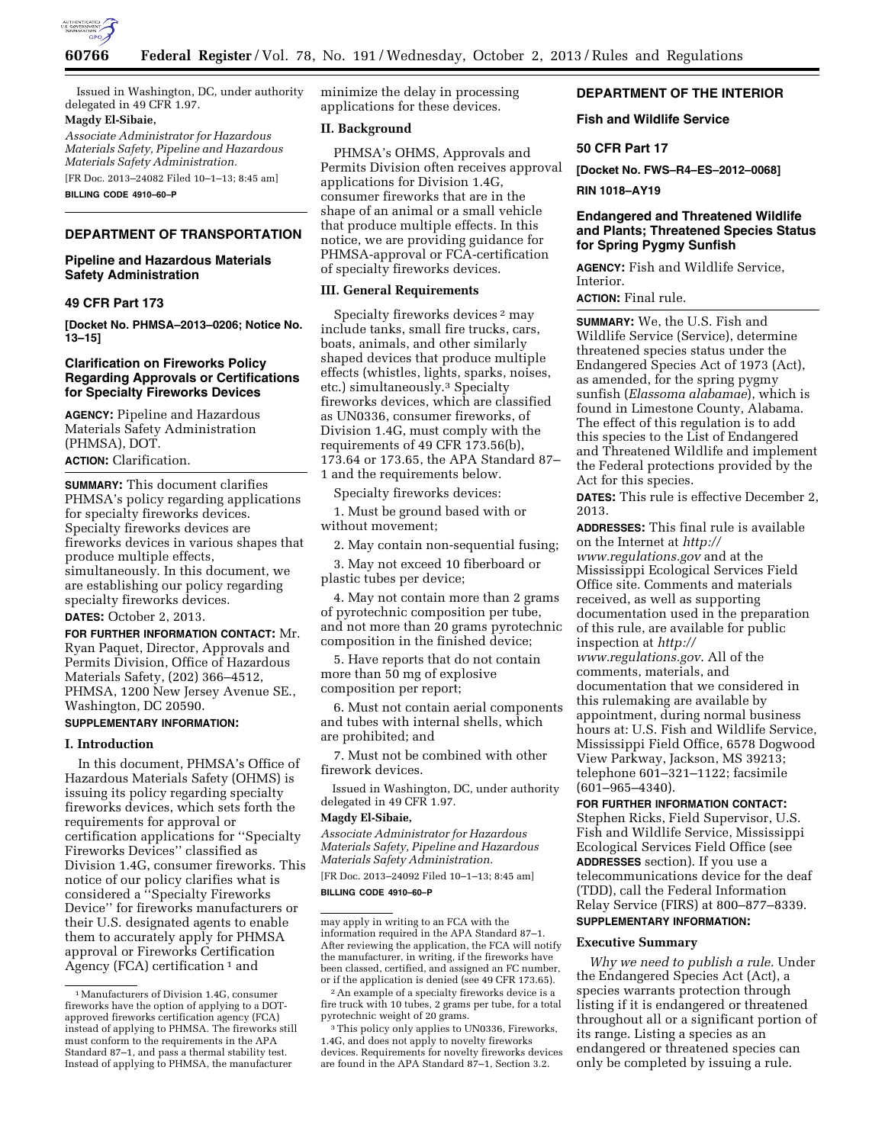

Issued in Washington, DC, under authority delegated in 49 CFR 1.97.

### **Magdy El-Sibaie,**

*Associate Administrator for Hazardous Materials Safety, Pipeline and Hazardous Materials Safety Administration.* 

[FR Doc. 2013–24082 Filed 10–1–13; 8:45 am] **BILLING CODE 4910–60–P** 

# **DEPARTMENT OF TRANSPORTATION**

# **Pipeline and Hazardous Materials Safety Administration**

#### **49 CFR Part 173**

**[Docket No. PHMSA–2013–0206; Notice No. 13–15]** 

### **Clarification on Fireworks Policy Regarding Approvals or Certifications for Specialty Fireworks Devices**

**AGENCY:** Pipeline and Hazardous Materials Safety Administration (PHMSA), DOT.

**ACTION:** Clarification.

**SUMMARY:** This document clarifies PHMSA's policy regarding applications for specialty fireworks devices. Specialty fireworks devices are fireworks devices in various shapes that produce multiple effects, simultaneously. In this document, we are establishing our policy regarding specialty fireworks devices.

## **DATES:** October 2, 2013.

**FOR FURTHER INFORMATION CONTACT:** Mr. Ryan Paquet, Director, Approvals and Permits Division, Office of Hazardous Materials Safety, (202) 366–4512, PHMSA, 1200 New Jersey Avenue SE., Washington, DC 20590.

# **SUPPLEMENTARY INFORMATION:**

## **I. Introduction**

In this document, PHMSA's Office of Hazardous Materials Safety (OHMS) is issuing its policy regarding specialty fireworks devices, which sets forth the requirements for approval or certification applications for ''Specialty Fireworks Devices'' classified as Division 1.4G, consumer fireworks. This notice of our policy clarifies what is considered a ''Specialty Fireworks Device'' for fireworks manufacturers or their U.S. designated agents to enable them to accurately apply for PHMSA approval or Fireworks Certification Agency (FCA) certification  $1$  and

minimize the delay in processing applications for these devices.

## **II. Background**

PHMSA's OHMS, Approvals and Permits Division often receives approval applications for Division 1.4G, consumer fireworks that are in the shape of an animal or a small vehicle that produce multiple effects. In this notice, we are providing guidance for PHMSA-approval or FCA-certification of specialty fireworks devices.

### **III. General Requirements**

Specialty fireworks devices 2 may include tanks, small fire trucks, cars, boats, animals, and other similarly shaped devices that produce multiple effects (whistles, lights, sparks, noises, etc.) simultaneously.3 Specialty fireworks devices, which are classified as UN0336, consumer fireworks, of Division 1.4G, must comply with the requirements of 49 CFR 173.56(b), 173.64 or 173.65, the APA Standard 87– 1 and the requirements below.

Specialty fireworks devices:

1. Must be ground based with or without movement;

2. May contain non-sequential fusing;

3. May not exceed 10 fiberboard or plastic tubes per device;

4. May not contain more than 2 grams of pyrotechnic composition per tube, and not more than 20 grams pyrotechnic composition in the finished device;

5. Have reports that do not contain more than 50 mg of explosive composition per report;

6. Must not contain aerial components and tubes with internal shells, which are prohibited; and

7. Must not be combined with other firework devices.

Issued in Washington, DC, under authority delegated in 49 CFR 1.97.

#### **Magdy El-Sibaie,**

*Associate Administrator for Hazardous Materials Safety, Pipeline and Hazardous Materials Safety Administration.* 

[FR Doc. 2013–24092 Filed 10–1–13; 8:45 am]

**BILLING CODE 4910–60–P** 

# **DEPARTMENT OF THE INTERIOR**

## **Fish and Wildlife Service**

## **50 CFR Part 17**

**[Docket No. FWS–R4–ES–2012–0068]** 

**RIN 1018–AY19** 

## **Endangered and Threatened Wildlife and Plants; Threatened Species Status for Spring Pygmy Sunfish**

**AGENCY:** Fish and Wildlife Service, Interior.

**ACTION:** Final rule.

**SUMMARY:** We, the U.S. Fish and Wildlife Service (Service), determine threatened species status under the Endangered Species Act of 1973 (Act), as amended, for the spring pygmy sunfish (*Elassoma alabamae*), which is found in Limestone County, Alabama. The effect of this regulation is to add this species to the List of Endangered and Threatened Wildlife and implement the Federal protections provided by the Act for this species.

**DATES:** This rule is effective December 2, 2013.

**ADDRESSES:** This final rule is available on the Internet at *[http://](http://www.regulations.gov) [www.regulations.gov](http://www.regulations.gov)* and at the Mississippi Ecological Services Field Office site. Comments and materials received, as well as supporting documentation used in the preparation of this rule, are available for public inspection at *[http://](http://www.regulations.gov)*

*[www.regulations.gov](http://www.regulations.gov)*. All of the comments, materials, and documentation that we considered in this rulemaking are available by appointment, during normal business hours at: U.S. Fish and Wildlife Service, Mississippi Field Office, 6578 Dogwood View Parkway, Jackson, MS 39213; telephone 601–321–1122; facsimile (601–965–4340).

### **FOR FURTHER INFORMATION CONTACT:**

Stephen Ricks, Field Supervisor, U.S. Fish and Wildlife Service, Mississippi Ecological Services Field Office (see **ADDRESSES** section). If you use a telecommunications device for the deaf (TDD), call the Federal Information Relay Service (FIRS) at 800–877–8339. **SUPPLEMENTARY INFORMATION:** 

### **Executive Summary**

*Why we need to publish a rule.* Under the Endangered Species Act (Act), a species warrants protection through listing if it is endangered or threatened throughout all or a significant portion of its range. Listing a species as an endangered or threatened species can only be completed by issuing a rule.

<sup>1</sup>Manufacturers of Division 1.4G, consumer fireworks have the option of applying to a DOTapproved fireworks certification agency (FCA) instead of applying to PHMSA. The fireworks still must conform to the requirements in the APA Standard 87–1, and pass a thermal stability test. Instead of applying to PHMSA, the manufacturer

may apply in writing to an FCA with the information required in the APA Standard 87–1. After reviewing the application, the FCA will notify the manufacturer, in writing, if the fireworks have been classed, certified, and assigned an FC number, or if the application is denied (see 49 CFR 173.65).

<sup>2</sup>An example of a specialty fireworks device is a fire truck with 10 tubes, 2 grams per tube, for a total pyrotechnic weight of 20 grams.

<sup>3</sup>This policy only applies to UN0336, Fireworks, 1.4G, and does not apply to novelty fireworks devices. Requirements for novelty fireworks devices are found in the APA Standard 87–1, Section 3.2.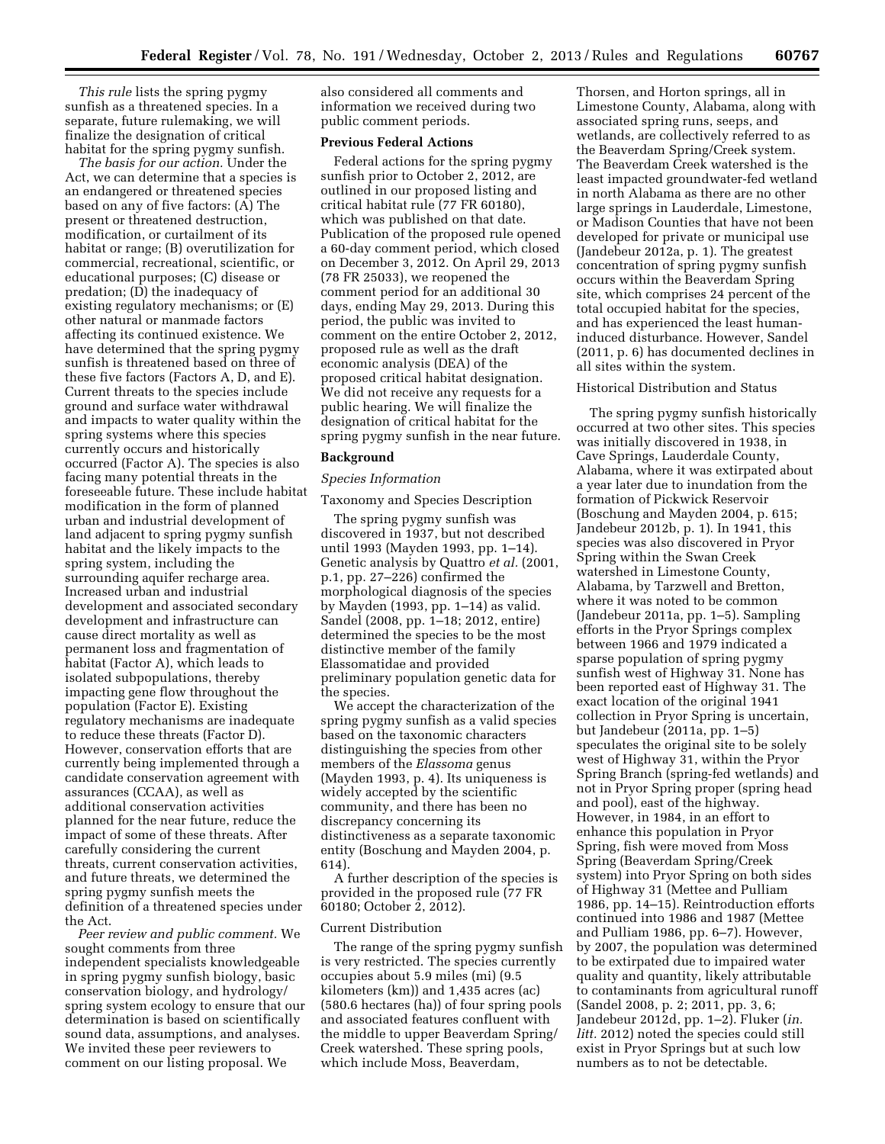*This rule* lists the spring pygmy sunfish as a threatened species. In a separate, future rulemaking, we will finalize the designation of critical habitat for the spring pygmy sunfish.

*The basis for our action.* Under the Act, we can determine that a species is an endangered or threatened species based on any of five factors: (A) The present or threatened destruction, modification, or curtailment of its habitat or range; (B) overutilization for commercial, recreational, scientific, or educational purposes; (C) disease or predation; (D) the inadequacy of existing regulatory mechanisms; or (E) other natural or manmade factors affecting its continued existence. We have determined that the spring pygmy sunfish is threatened based on three of these five factors (Factors A, D, and E). Current threats to the species include ground and surface water withdrawal and impacts to water quality within the spring systems where this species currently occurs and historically occurred (Factor A). The species is also facing many potential threats in the foreseeable future. These include habitat modification in the form of planned urban and industrial development of land adjacent to spring pygmy sunfish habitat and the likely impacts to the spring system, including the surrounding aquifer recharge area. Increased urban and industrial development and associated secondary development and infrastructure can cause direct mortality as well as permanent loss and fragmentation of habitat (Factor A), which leads to isolated subpopulations, thereby impacting gene flow throughout the population (Factor E). Existing regulatory mechanisms are inadequate to reduce these threats (Factor D). However, conservation efforts that are currently being implemented through a candidate conservation agreement with assurances (CCAA), as well as additional conservation activities planned for the near future, reduce the impact of some of these threats. After carefully considering the current threats, current conservation activities, and future threats, we determined the spring pygmy sunfish meets the definition of a threatened species under the Act.

*Peer review and public comment.* We sought comments from three independent specialists knowledgeable in spring pygmy sunfish biology, basic conservation biology, and hydrology/ spring system ecology to ensure that our determination is based on scientifically sound data, assumptions, and analyses. We invited these peer reviewers to comment on our listing proposal. We

also considered all comments and information we received during two public comment periods.

### **Previous Federal Actions**

Federal actions for the spring pygmy sunfish prior to October 2, 2012, are outlined in our proposed listing and critical habitat rule (77 FR 60180), which was published on that date. Publication of the proposed rule opened a 60-day comment period, which closed on December 3, 2012. On April 29, 2013 (78 FR 25033), we reopened the comment period for an additional 30 days, ending May 29, 2013. During this period, the public was invited to comment on the entire October 2, 2012, proposed rule as well as the draft economic analysis (DEA) of the proposed critical habitat designation. We did not receive any requests for a public hearing. We will finalize the designation of critical habitat for the spring pygmy sunfish in the near future.

#### **Background**

#### *Species Information*

## Taxonomy and Species Description

The spring pygmy sunfish was discovered in 1937, but not described until 1993 (Mayden 1993, pp. 1–14). Genetic analysis by Quattro *et al.* (2001, p.1, pp. 27–226) confirmed the morphological diagnosis of the species by Mayden (1993, pp. 1–14) as valid. Sandel (2008, pp. 1–18; 2012, entire) determined the species to be the most distinctive member of the family Elassomatidae and provided preliminary population genetic data for the species.

We accept the characterization of the spring pygmy sunfish as a valid species based on the taxonomic characters distinguishing the species from other members of the *Elassoma* genus (Mayden 1993, p. 4). Its uniqueness is widely accepted by the scientific community, and there has been no discrepancy concerning its distinctiveness as a separate taxonomic entity (Boschung and Mayden 2004, p. 614).

A further description of the species is provided in the proposed rule (77 FR 60180; October 2, 2012).

### Current Distribution

The range of the spring pygmy sunfish is very restricted. The species currently occupies about 5.9 miles (mi) (9.5 kilometers (km)) and 1,435 acres (ac) (580.6 hectares (ha)) of four spring pools and associated features confluent with the middle to upper Beaverdam Spring/ Creek watershed. These spring pools, which include Moss, Beaverdam,

Thorsen, and Horton springs, all in Limestone County, Alabama, along with associated spring runs, seeps, and wetlands, are collectively referred to as the Beaverdam Spring/Creek system. The Beaverdam Creek watershed is the least impacted groundwater-fed wetland in north Alabama as there are no other large springs in Lauderdale, Limestone, or Madison Counties that have not been developed for private or municipal use (Jandebeur 2012a, p. 1). The greatest concentration of spring pygmy sunfish occurs within the Beaverdam Spring site, which comprises 24 percent of the total occupied habitat for the species, and has experienced the least humaninduced disturbance. However, Sandel (2011, p. 6) has documented declines in all sites within the system.

#### Historical Distribution and Status

The spring pygmy sunfish historically occurred at two other sites. This species was initially discovered in 1938, in Cave Springs, Lauderdale County, Alabama, where it was extirpated about a year later due to inundation from the formation of Pickwick Reservoir (Boschung and Mayden 2004, p. 615; Jandebeur 2012b, p. 1). In 1941, this species was also discovered in Pryor Spring within the Swan Creek watershed in Limestone County, Alabama, by Tarzwell and Bretton, where it was noted to be common (Jandebeur 2011a, pp. 1–5). Sampling efforts in the Pryor Springs complex between 1966 and 1979 indicated a sparse population of spring pygmy sunfish west of Highway 31. None has been reported east of Highway 31. The exact location of the original 1941 collection in Pryor Spring is uncertain, but Jandebeur (2011a, pp. 1–5) speculates the original site to be solely west of Highway 31, within the Pryor Spring Branch (spring-fed wetlands) and not in Pryor Spring proper (spring head and pool), east of the highway. However, in 1984, in an effort to enhance this population in Pryor Spring, fish were moved from Moss Spring (Beaverdam Spring/Creek system) into Pryor Spring on both sides of Highway 31 (Mettee and Pulliam 1986, pp. 14–15). Reintroduction efforts continued into 1986 and 1987 (Mettee and Pulliam 1986, pp. 6–7). However, by 2007, the population was determined to be extirpated due to impaired water quality and quantity, likely attributable to contaminants from agricultural runoff (Sandel 2008, p. 2; 2011, pp. 3, 6; Jandebeur 2012d, pp. 1–2). Fluker (*in. litt.* 2012) noted the species could still exist in Pryor Springs but at such low numbers as to not be detectable.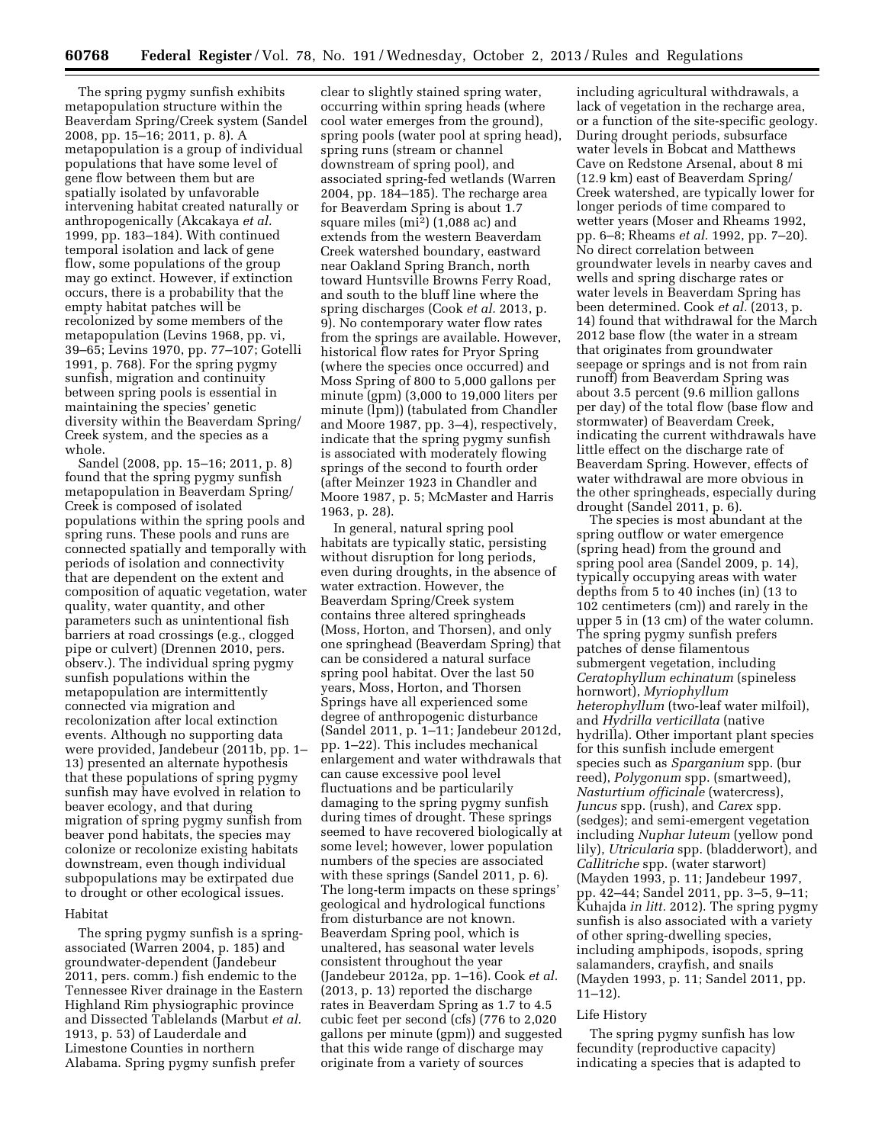The spring pygmy sunfish exhibits metapopulation structure within the Beaverdam Spring/Creek system (Sandel 2008, pp. 15–16; 2011, p. 8). A metapopulation is a group of individual populations that have some level of gene flow between them but are spatially isolated by unfavorable intervening habitat created naturally or anthropogenically (Akcakaya *et al.*  1999, pp. 183–184). With continued temporal isolation and lack of gene flow, some populations of the group may go extinct. However, if extinction occurs, there is a probability that the empty habitat patches will be recolonized by some members of the metapopulation (Levins 1968, pp. vi, 39–65; Levins 1970, pp. 77–107; Gotelli 1991, p. 768). For the spring pygmy sunfish, migration and continuity between spring pools is essential in maintaining the species' genetic diversity within the Beaverdam Spring/ Creek system, and the species as a whole.

Sandel (2008, pp. 15–16; 2011, p. 8) found that the spring pygmy sunfish metapopulation in Beaverdam Spring/ Creek is composed of isolated populations within the spring pools and spring runs. These pools and runs are connected spatially and temporally with periods of isolation and connectivity that are dependent on the extent and composition of aquatic vegetation, water quality, water quantity, and other parameters such as unintentional fish barriers at road crossings (e.g., clogged pipe or culvert) (Drennen 2010, pers. observ.). The individual spring pygmy sunfish populations within the metapopulation are intermittently connected via migration and recolonization after local extinction events. Although no supporting data were provided, Jandebeur (2011b, pp. 1– 13) presented an alternate hypothesis that these populations of spring pygmy sunfish may have evolved in relation to beaver ecology, and that during migration of spring pygmy sunfish from beaver pond habitats, the species may colonize or recolonize existing habitats downstream, even though individual subpopulations may be extirpated due to drought or other ecological issues.

#### Habitat

The spring pygmy sunfish is a springassociated (Warren 2004, p. 185) and groundwater-dependent (Jandebeur 2011, pers. comm.) fish endemic to the Tennessee River drainage in the Eastern Highland Rim physiographic province and Dissected Tablelands (Marbut *et al.*  1913, p. 53) of Lauderdale and Limestone Counties in northern Alabama. Spring pygmy sunfish prefer

clear to slightly stained spring water, occurring within spring heads (where cool water emerges from the ground), spring pools (water pool at spring head), spring runs (stream or channel downstream of spring pool), and associated spring-fed wetlands (Warren 2004, pp. 184–185). The recharge area for Beaverdam Spring is about 1.7 square miles (mi2) (1,088 ac) and extends from the western Beaverdam Creek watershed boundary, eastward near Oakland Spring Branch, north toward Huntsville Browns Ferry Road, and south to the bluff line where the spring discharges (Cook *et al.* 2013, p. 9). No contemporary water flow rates from the springs are available. However, historical flow rates for Pryor Spring (where the species once occurred) and Moss Spring of 800 to 5,000 gallons per minute (gpm) (3,000 to 19,000 liters per minute (lpm)) (tabulated from Chandler and Moore 1987, pp. 3–4), respectively, indicate that the spring pygmy sunfish is associated with moderately flowing springs of the second to fourth order (after Meinzer 1923 in Chandler and Moore 1987, p. 5; McMaster and Harris 1963, p. 28).

In general, natural spring pool habitats are typically static, persisting without disruption for long periods, even during droughts, in the absence of water extraction. However, the Beaverdam Spring/Creek system contains three altered springheads (Moss, Horton, and Thorsen), and only one springhead (Beaverdam Spring) that can be considered a natural surface spring pool habitat. Over the last 50 years, Moss, Horton, and Thorsen Springs have all experienced some degree of anthropogenic disturbance (Sandel 2011, p. 1–11; Jandebeur 2012d, pp. 1–22). This includes mechanical enlargement and water withdrawals that can cause excessive pool level fluctuations and be particularily damaging to the spring pygmy sunfish during times of drought. These springs seemed to have recovered biologically at some level; however, lower population numbers of the species are associated with these springs (Sandel 2011, p. 6). The long-term impacts on these springs' geological and hydrological functions from disturbance are not known. Beaverdam Spring pool, which is unaltered, has seasonal water levels consistent throughout the year (Jandebeur 2012a, pp. 1–16). Cook *et al.*  (2013, p. 13) reported the discharge rates in Beaverdam Spring as 1.7 to 4.5 cubic feet per second (cfs) (776 to 2,020 gallons per minute (gpm)) and suggested that this wide range of discharge may originate from a variety of sources

including agricultural withdrawals, a lack of vegetation in the recharge area, or a function of the site-specific geology. During drought periods, subsurface water levels in Bobcat and Matthews Cave on Redstone Arsenal, about 8 mi (12.9 km) east of Beaverdam Spring/ Creek watershed, are typically lower for longer periods of time compared to wetter years (Moser and Rheams 1992, pp. 6–8; Rheams *et al.* 1992, pp. 7–20). No direct correlation between groundwater levels in nearby caves and wells and spring discharge rates or water levels in Beaverdam Spring has been determined. Cook *et al.* (2013, p. 14) found that withdrawal for the March 2012 base flow (the water in a stream that originates from groundwater seepage or springs and is not from rain runoff) from Beaverdam Spring was about 3.5 percent (9.6 million gallons per day) of the total flow (base flow and stormwater) of Beaverdam Creek, indicating the current withdrawals have little effect on the discharge rate of Beaverdam Spring. However, effects of water withdrawal are more obvious in the other springheads, especially during drought (Sandel 2011, p. 6).

The species is most abundant at the spring outflow or water emergence (spring head) from the ground and spring pool area (Sandel 2009, p. 14), typically occupying areas with water depths from 5 to 40 inches (in) (13 to 102 centimeters (cm)) and rarely in the upper 5 in (13 cm) of the water column. The spring pygmy sunfish prefers patches of dense filamentous submergent vegetation, including *Ceratophyllum echinatum* (spineless hornwort), *Myriophyllum heterophyllum* (two-leaf water milfoil), and *Hydrilla verticillata* (native hydrilla). Other important plant species for this sunfish include emergent species such as *Sparganium* spp. (bur reed), *Polygonum* spp. (smartweed), *Nasturtium officinale* (watercress), *Juncus* spp. (rush), and *Carex* spp. (sedges); and semi-emergent vegetation including *Nuphar luteum* (yellow pond lily), *Utricularia* spp. (bladderwort), and *Callitriche* spp. (water starwort) (Mayden 1993, p. 11; Jandebeur 1997, pp. 42–44; Sandel 2011, pp. 3–5, 9–11; Kuhajda *in litt.* 2012). The spring pygmy sunfish is also associated with a variety of other spring-dwelling species, including amphipods, isopods, spring salamanders, crayfish, and snails (Mayden 1993, p. 11; Sandel 2011, pp. 11–12).

### Life History

The spring pygmy sunfish has low fecundity (reproductive capacity) indicating a species that is adapted to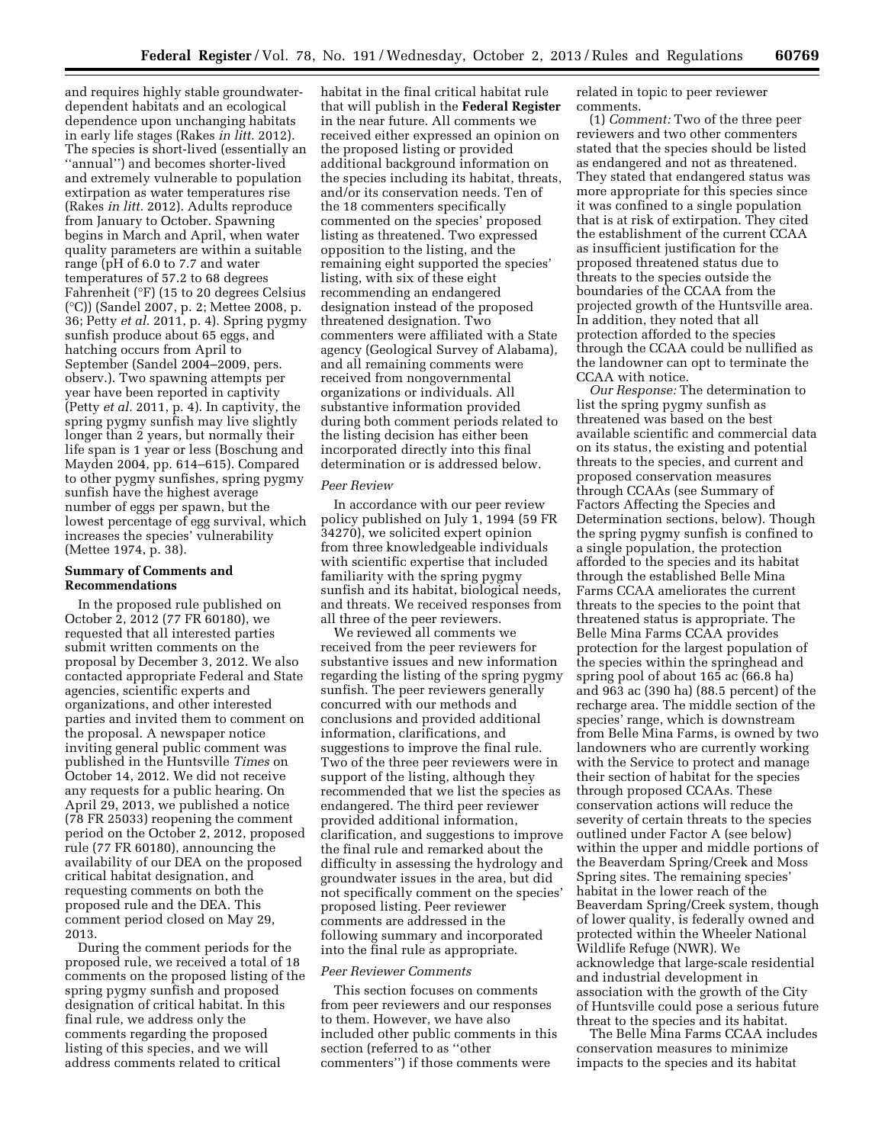and requires highly stable groundwaterdependent habitats and an ecological dependence upon unchanging habitats in early life stages (Rakes *in litt.* 2012). The species is short-lived (essentially an ''annual'') and becomes shorter-lived and extremely vulnerable to population extirpation as water temperatures rise (Rakes *in litt.* 2012). Adults reproduce from January to October. Spawning begins in March and April, when water quality parameters are within a suitable range (pH of 6.0 to 7.7 and water temperatures of 57.2 to 68 degrees Fahrenheit (°F) (15 to 20 degrees Celsius (°C)) (Sandel 2007, p. 2; Mettee 2008, p. 36; Petty *et al.* 2011, p. 4). Spring pygmy sunfish produce about 65 eggs, and hatching occurs from April to September (Sandel 2004–2009, pers. observ.). Two spawning attempts per year have been reported in captivity (Petty *et al.* 2011, p. 4). In captivity, the spring pygmy sunfish may live slightly longer than 2 years, but normally their life span is 1 year or less (Boschung and Mayden 2004, pp. 614–615). Compared to other pygmy sunfishes, spring pygmy sunfish have the highest average number of eggs per spawn, but the lowest percentage of egg survival, which increases the species' vulnerability (Mettee 1974, p. 38).

## **Summary of Comments and Recommendations**

In the proposed rule published on October 2, 2012 (77 FR 60180), we requested that all interested parties submit written comments on the proposal by December 3, 2012. We also contacted appropriate Federal and State agencies, scientific experts and organizations, and other interested parties and invited them to comment on the proposal. A newspaper notice inviting general public comment was published in the Huntsville *Times* on October 14, 2012. We did not receive any requests for a public hearing. On April 29, 2013, we published a notice (78 FR 25033) reopening the comment period on the October 2, 2012, proposed rule (77 FR 60180), announcing the availability of our DEA on the proposed critical habitat designation, and requesting comments on both the proposed rule and the DEA. This comment period closed on May 29, 2013.

During the comment periods for the proposed rule, we received a total of 18 comments on the proposed listing of the spring pygmy sunfish and proposed designation of critical habitat. In this final rule, we address only the comments regarding the proposed listing of this species, and we will address comments related to critical

habitat in the final critical habitat rule that will publish in the **Federal Register**  in the near future. All comments we received either expressed an opinion on the proposed listing or provided additional background information on the species including its habitat, threats, and/or its conservation needs. Ten of the 18 commenters specifically commented on the species' proposed listing as threatened. Two expressed opposition to the listing, and the remaining eight supported the species' listing, with six of these eight recommending an endangered designation instead of the proposed threatened designation. Two commenters were affiliated with a State agency (Geological Survey of Alabama), and all remaining comments were received from nongovernmental organizations or individuals. All substantive information provided during both comment periods related to the listing decision has either been incorporated directly into this final determination or is addressed below.

### *Peer Review*

In accordance with our peer review policy published on July 1, 1994 (59 FR 34270), we solicited expert opinion from three knowledgeable individuals with scientific expertise that included familiarity with the spring pygmy sunfish and its habitat, biological needs, and threats. We received responses from all three of the peer reviewers.

We reviewed all comments we received from the peer reviewers for substantive issues and new information regarding the listing of the spring pygmy sunfish. The peer reviewers generally concurred with our methods and conclusions and provided additional information, clarifications, and suggestions to improve the final rule. Two of the three peer reviewers were in support of the listing, although they recommended that we list the species as endangered. The third peer reviewer provided additional information, clarification, and suggestions to improve the final rule and remarked about the difficulty in assessing the hydrology and groundwater issues in the area, but did not specifically comment on the species' proposed listing. Peer reviewer comments are addressed in the following summary and incorporated into the final rule as appropriate.

#### *Peer Reviewer Comments*

This section focuses on comments from peer reviewers and our responses to them. However, we have also included other public comments in this section (referred to as ''other commenters'') if those comments were

related in topic to peer reviewer comments.

(1) *Comment:* Two of the three peer reviewers and two other commenters stated that the species should be listed as endangered and not as threatened. They stated that endangered status was more appropriate for this species since it was confined to a single population that is at risk of extirpation. They cited the establishment of the current CCAA as insufficient justification for the proposed threatened status due to threats to the species outside the boundaries of the CCAA from the projected growth of the Huntsville area. In addition, they noted that all protection afforded to the species through the CCAA could be nullified as the landowner can opt to terminate the CCAA with notice.

*Our Response:* The determination to list the spring pygmy sunfish as threatened was based on the best available scientific and commercial data on its status, the existing and potential threats to the species, and current and proposed conservation measures through CCAAs (see Summary of Factors Affecting the Species and Determination sections, below). Though the spring pygmy sunfish is confined to a single population, the protection afforded to the species and its habitat through the established Belle Mina Farms CCAA ameliorates the current threats to the species to the point that threatened status is appropriate. The Belle Mina Farms CCAA provides protection for the largest population of the species within the springhead and spring pool of about 165 ac (66.8 ha) and 963 ac (390 ha) (88.5 percent) of the recharge area. The middle section of the species' range, which is downstream from Belle Mina Farms, is owned by two landowners who are currently working with the Service to protect and manage their section of habitat for the species through proposed CCAAs. These conservation actions will reduce the severity of certain threats to the species outlined under Factor A (see below) within the upper and middle portions of the Beaverdam Spring/Creek and Moss Spring sites. The remaining species' habitat in the lower reach of the Beaverdam Spring/Creek system, though of lower quality, is federally owned and protected within the Wheeler National Wildlife Refuge (NWR). We acknowledge that large-scale residential and industrial development in association with the growth of the City of Huntsville could pose a serious future threat to the species and its habitat.

The Belle Mina Farms CCAA includes conservation measures to minimize impacts to the species and its habitat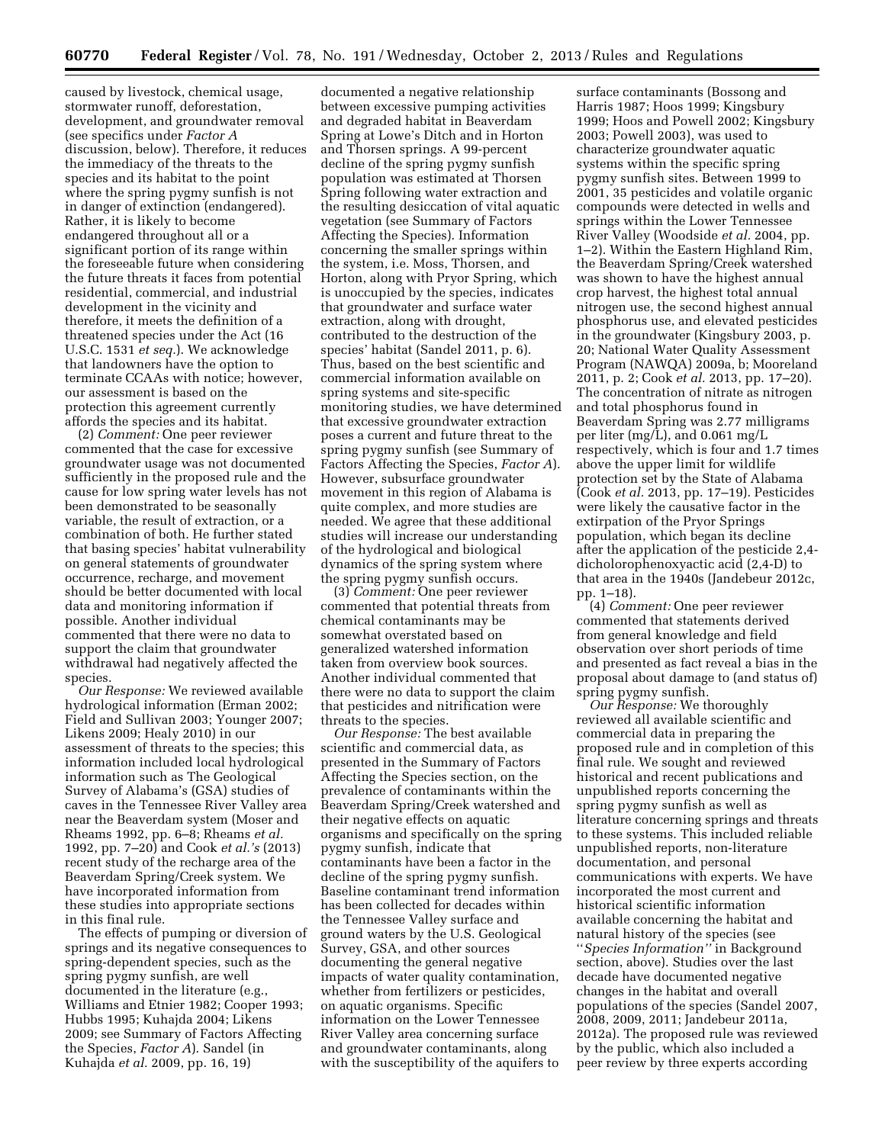caused by livestock, chemical usage, stormwater runoff, deforestation, development, and groundwater removal (see specifics under *Factor A*  discussion, below). Therefore, it reduces the immediacy of the threats to the species and its habitat to the point where the spring pygmy sunfish is not in danger of extinction (endangered). Rather, it is likely to become endangered throughout all or a significant portion of its range within the foreseeable future when considering the future threats it faces from potential residential, commercial, and industrial development in the vicinity and therefore, it meets the definition of a threatened species under the Act (16 U.S.C. 1531 *et seq.*). We acknowledge that landowners have the option to terminate CCAAs with notice; however, our assessment is based on the protection this agreement currently affords the species and its habitat.

(2) *Comment:* One peer reviewer commented that the case for excessive groundwater usage was not documented sufficiently in the proposed rule and the cause for low spring water levels has not been demonstrated to be seasonally variable, the result of extraction, or a combination of both. He further stated that basing species' habitat vulnerability on general statements of groundwater occurrence, recharge, and movement should be better documented with local data and monitoring information if possible. Another individual commented that there were no data to support the claim that groundwater withdrawal had negatively affected the species.

*Our Response:* We reviewed available hydrological information (Erman 2002; Field and Sullivan 2003; Younger 2007; Likens 2009; Healy 2010) in our assessment of threats to the species; this information included local hydrological information such as The Geological Survey of Alabama's (GSA) studies of caves in the Tennessee River Valley area near the Beaverdam system (Moser and Rheams 1992, pp. 6–8; Rheams *et al.*  1992, pp. 7–20) and Cook *et al.'s* (2013) recent study of the recharge area of the Beaverdam Spring/Creek system. We have incorporated information from these studies into appropriate sections in this final rule.

The effects of pumping or diversion of springs and its negative consequences to spring-dependent species, such as the spring pygmy sunfish, are well documented in the literature (e.g., Williams and Etnier 1982; Cooper 1993; Hubbs 1995; Kuhajda 2004; Likens 2009; see Summary of Factors Affecting the Species, *Factor A*). Sandel (in Kuhajda *et al.* 2009, pp. 16, 19)

documented a negative relationship between excessive pumping activities and degraded habitat in Beaverdam Spring at Lowe's Ditch and in Horton and Thorsen springs. A 99-percent decline of the spring pygmy sunfish population was estimated at Thorsen Spring following water extraction and the resulting desiccation of vital aquatic vegetation (see Summary of Factors Affecting the Species). Information concerning the smaller springs within the system, i.e. Moss, Thorsen, and Horton, along with Pryor Spring, which is unoccupied by the species, indicates that groundwater and surface water extraction, along with drought, contributed to the destruction of the species' habitat (Sandel 2011, p. 6). Thus, based on the best scientific and commercial information available on spring systems and site-specific monitoring studies, we have determined that excessive groundwater extraction poses a current and future threat to the spring pygmy sunfish (see Summary of Factors Affecting the Species, *Factor A*). However, subsurface groundwater movement in this region of Alabama is quite complex, and more studies are needed. We agree that these additional studies will increase our understanding of the hydrological and biological dynamics of the spring system where the spring pygmy sunfish occurs.

(3) *Comment:* One peer reviewer commented that potential threats from chemical contaminants may be somewhat overstated based on generalized watershed information taken from overview book sources. Another individual commented that there were no data to support the claim that pesticides and nitrification were threats to the species.

*Our Response:* The best available scientific and commercial data, as presented in the Summary of Factors Affecting the Species section, on the prevalence of contaminants within the Beaverdam Spring/Creek watershed and their negative effects on aquatic organisms and specifically on the spring pygmy sunfish, indicate that contaminants have been a factor in the decline of the spring pygmy sunfish. Baseline contaminant trend information has been collected for decades within the Tennessee Valley surface and ground waters by the U.S. Geological Survey, GSA, and other sources documenting the general negative impacts of water quality contamination, whether from fertilizers or pesticides, on aquatic organisms. Specific information on the Lower Tennessee River Valley area concerning surface and groundwater contaminants, along with the susceptibility of the aquifers to

surface contaminants (Bossong and Harris 1987; Hoos 1999; Kingsbury 1999; Hoos and Powell 2002; Kingsbury 2003; Powell 2003), was used to characterize groundwater aquatic systems within the specific spring pygmy sunfish sites. Between 1999 to 2001, 35 pesticides and volatile organic compounds were detected in wells and springs within the Lower Tennessee River Valley (Woodside *et al.* 2004, pp. 1–2). Within the Eastern Highland Rim, the Beaverdam Spring/Creek watershed was shown to have the highest annual crop harvest, the highest total annual nitrogen use, the second highest annual phosphorus use, and elevated pesticides in the groundwater (Kingsbury 2003, p. 20; National Water Quality Assessment Program (NAWQA) 2009a, b; Mooreland 2011, p. 2; Cook *et al.* 2013, pp. 17–20). The concentration of nitrate as nitrogen and total phosphorus found in Beaverdam Spring was 2.77 milligrams per liter (mg/L), and 0.061 mg/L respectively, which is four and 1.7 times above the upper limit for wildlife protection set by the State of Alabama (Cook *et al.* 2013, pp. 17–19). Pesticides were likely the causative factor in the extirpation of the Pryor Springs population, which began its decline after the application of the pesticide 2,4 dicholorophenoxyactic acid (2,4-D) to that area in the 1940s (Jandebeur 2012c, pp. 1–18).

(4) *Comment:* One peer reviewer commented that statements derived from general knowledge and field observation over short periods of time and presented as fact reveal a bias in the proposal about damage to (and status of) spring pygmy sunfish.

*Our Response:* We thoroughly reviewed all available scientific and commercial data in preparing the proposed rule and in completion of this final rule. We sought and reviewed historical and recent publications and unpublished reports concerning the spring pygmy sunfish as well as literature concerning springs and threats to these systems. This included reliable unpublished reports, non-literature documentation, and personal communications with experts. We have incorporated the most current and historical scientific information available concerning the habitat and natural history of the species (see ''*Species Information''* in Background section, above). Studies over the last decade have documented negative changes in the habitat and overall populations of the species (Sandel 2007, 2008, 2009, 2011; Jandebeur 2011a, 2012a). The proposed rule was reviewed by the public, which also included a peer review by three experts according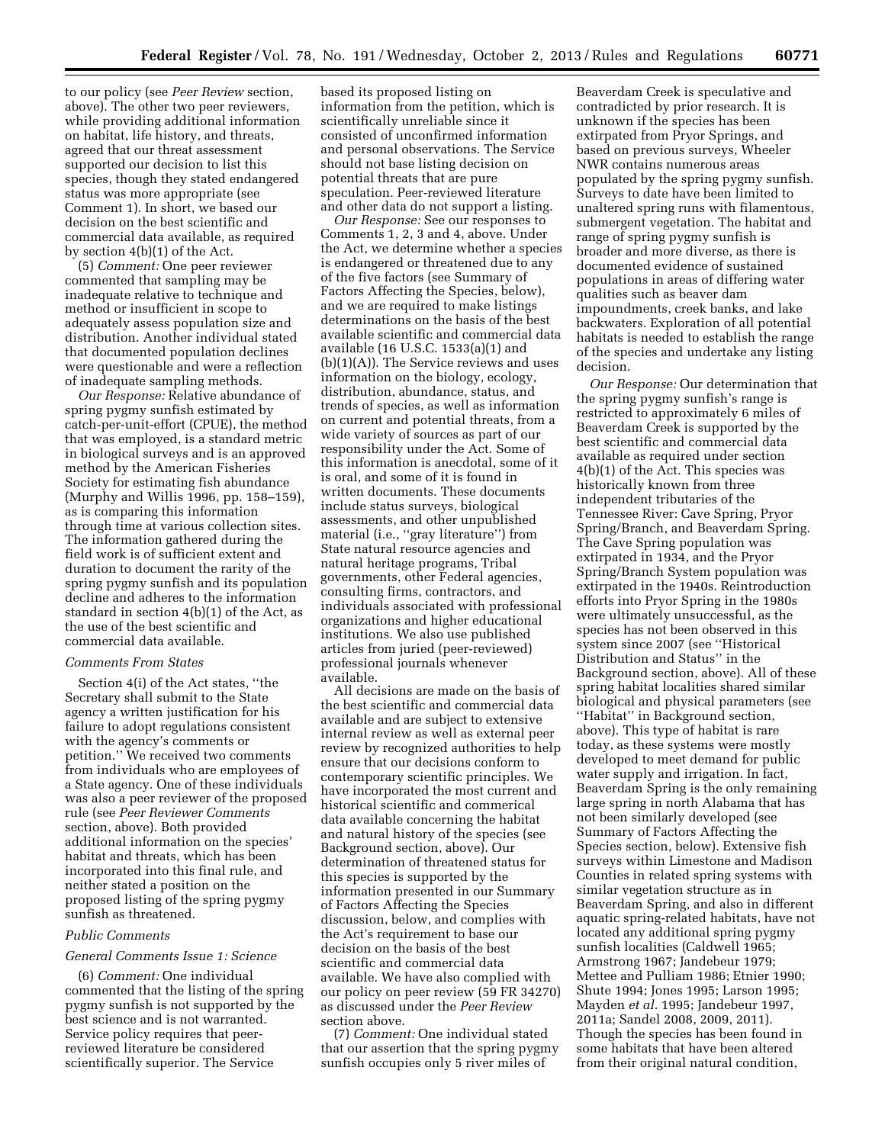to our policy (see *Peer Review* section, above). The other two peer reviewers, while providing additional information on habitat, life history, and threats, agreed that our threat assessment supported our decision to list this species, though they stated endangered status was more appropriate (see Comment 1). In short, we based our decision on the best scientific and commercial data available, as required by section 4(b)(1) of the Act.

(5) *Comment:* One peer reviewer commented that sampling may be inadequate relative to technique and method or insufficient in scope to adequately assess population size and distribution. Another individual stated that documented population declines were questionable and were a reflection of inadequate sampling methods.

*Our Response:* Relative abundance of spring pygmy sunfish estimated by catch-per-unit-effort (CPUE), the method that was employed, is a standard metric in biological surveys and is an approved method by the American Fisheries Society for estimating fish abundance (Murphy and Willis 1996, pp. 158–159), as is comparing this information through time at various collection sites. The information gathered during the field work is of sufficient extent and duration to document the rarity of the spring pygmy sunfish and its population decline and adheres to the information standard in section 4(b)(1) of the Act, as the use of the best scientific and commercial data available.

### *Comments From States*

Section 4(i) of the Act states, ''the Secretary shall submit to the State agency a written justification for his failure to adopt regulations consistent with the agency's comments or petition.'' We received two comments from individuals who are employees of a State agency. One of these individuals was also a peer reviewer of the proposed rule (see *Peer Reviewer Comments*  section, above). Both provided additional information on the species' habitat and threats, which has been incorporated into this final rule, and neither stated a position on the proposed listing of the spring pygmy sunfish as threatened.

### *Public Comments*

### *General Comments Issue 1: Science*

(6) *Comment:* One individual commented that the listing of the spring pygmy sunfish is not supported by the best science and is not warranted. Service policy requires that peerreviewed literature be considered scientifically superior. The Service

based its proposed listing on information from the petition, which is scientifically unreliable since it consisted of unconfirmed information and personal observations. The Service should not base listing decision on potential threats that are pure speculation. Peer-reviewed literature and other data do not support a listing.

*Our Response:* See our responses to Comments 1, 2, 3 and 4, above. Under the Act, we determine whether a species is endangered or threatened due to any of the five factors (see Summary of Factors Affecting the Species, below), and we are required to make listings determinations on the basis of the best available scientific and commercial data available (16 U.S.C. 1533(a)(1) and (b)(1)(A)). The Service reviews and uses information on the biology, ecology, distribution, abundance, status, and trends of species, as well as information on current and potential threats, from a wide variety of sources as part of our responsibility under the Act. Some of this information is anecdotal, some of it is oral, and some of it is found in written documents. These documents include status surveys, biological assessments, and other unpublished material (i.e., ''gray literature'') from State natural resource agencies and natural heritage programs, Tribal governments, other Federal agencies, consulting firms, contractors, and individuals associated with professional organizations and higher educational institutions. We also use published articles from juried (peer-reviewed) professional journals whenever available.

All decisions are made on the basis of the best scientific and commercial data available and are subject to extensive internal review as well as external peer review by recognized authorities to help ensure that our decisions conform to contemporary scientific principles. We have incorporated the most current and historical scientific and commerical data available concerning the habitat and natural history of the species (see Background section, above). Our determination of threatened status for this species is supported by the information presented in our Summary of Factors Affecting the Species discussion, below, and complies with the Act's requirement to base our decision on the basis of the best scientific and commercial data available. We have also complied with our policy on peer review (59 FR 34270) as discussed under the *Peer Review*  section above.

(7) *Comment:* One individual stated that our assertion that the spring pygmy sunfish occupies only 5 river miles of

Beaverdam Creek is speculative and contradicted by prior research. It is unknown if the species has been extirpated from Pryor Springs, and based on previous surveys, Wheeler NWR contains numerous areas populated by the spring pygmy sunfish. Surveys to date have been limited to unaltered spring runs with filamentous, submergent vegetation. The habitat and range of spring pygmy sunfish is broader and more diverse, as there is documented evidence of sustained populations in areas of differing water qualities such as beaver dam impoundments, creek banks, and lake backwaters. Exploration of all potential habitats is needed to establish the range of the species and undertake any listing decision.

*Our Response:* Our determination that the spring pygmy sunfish's range is restricted to approximately 6 miles of Beaverdam Creek is supported by the best scientific and commercial data available as required under section 4(b)(1) of the Act. This species was historically known from three independent tributaries of the Tennessee River: Cave Spring, Pryor Spring/Branch, and Beaverdam Spring. The Cave Spring population was extirpated in 1934, and the Pryor Spring/Branch System population was extirpated in the 1940s. Reintroduction efforts into Pryor Spring in the 1980s were ultimately unsuccessful, as the species has not been observed in this system since 2007 (see ''Historical Distribution and Status'' in the Background section, above). All of these spring habitat localities shared similar biological and physical parameters (see ''Habitat'' in Background section, above). This type of habitat is rare today, as these systems were mostly developed to meet demand for public water supply and irrigation. In fact, Beaverdam Spring is the only remaining large spring in north Alabama that has not been similarly developed (see Summary of Factors Affecting the Species section, below). Extensive fish surveys within Limestone and Madison Counties in related spring systems with similar vegetation structure as in Beaverdam Spring, and also in different aquatic spring-related habitats, have not located any additional spring pygmy sunfish localities (Caldwell 1965; Armstrong 1967; Jandebeur 1979; Mettee and Pulliam 1986; Etnier 1990; Shute 1994; Jones 1995; Larson 1995; Mayden *et al.* 1995; Jandebeur 1997, 2011a; Sandel 2008, 2009, 2011). Though the species has been found in some habitats that have been altered from their original natural condition,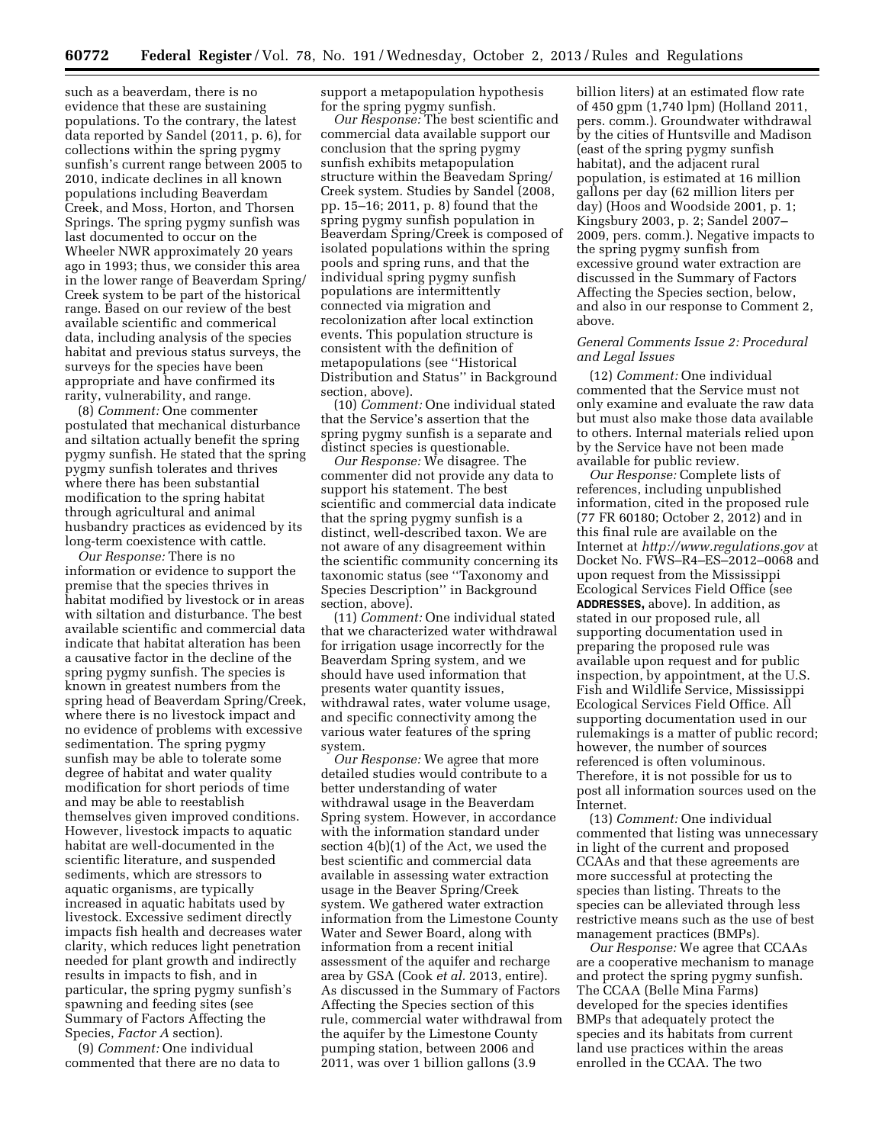such as a beaverdam, there is no evidence that these are sustaining populations. To the contrary, the latest data reported by Sandel (2011, p. 6), for collections within the spring pygmy sunfish's current range between 2005 to 2010, indicate declines in all known populations including Beaverdam Creek, and Moss, Horton, and Thorsen Springs. The spring pygmy sunfish was last documented to occur on the Wheeler NWR approximately 20 years ago in 1993; thus, we consider this area in the lower range of Beaverdam Spring/ Creek system to be part of the historical range. Based on our review of the best available scientific and commerical data, including analysis of the species habitat and previous status surveys, the surveys for the species have been appropriate and have confirmed its rarity, vulnerability, and range.

(8) *Comment:* One commenter postulated that mechanical disturbance and siltation actually benefit the spring pygmy sunfish. He stated that the spring pygmy sunfish tolerates and thrives where there has been substantial modification to the spring habitat through agricultural and animal husbandry practices as evidenced by its long-term coexistence with cattle.

*Our Response:* There is no information or evidence to support the premise that the species thrives in habitat modified by livestock or in areas with siltation and disturbance. The best available scientific and commercial data indicate that habitat alteration has been a causative factor in the decline of the spring pygmy sunfish. The species is known in greatest numbers from the spring head of Beaverdam Spring/Creek, where there is no livestock impact and no evidence of problems with excessive sedimentation. The spring pygmy sunfish may be able to tolerate some degree of habitat and water quality modification for short periods of time and may be able to reestablish themselves given improved conditions. However, livestock impacts to aquatic habitat are well-documented in the scientific literature, and suspended sediments, which are stressors to aquatic organisms, are typically increased in aquatic habitats used by livestock. Excessive sediment directly impacts fish health and decreases water clarity, which reduces light penetration needed for plant growth and indirectly results in impacts to fish, and in particular, the spring pygmy sunfish's spawning and feeding sites (see Summary of Factors Affecting the Species, *Factor A* section).

(9) *Comment:* One individual commented that there are no data to support a metapopulation hypothesis for the spring pygmy sunfish.

*Our Response:* The best scientific and commercial data available support our conclusion that the spring pygmy sunfish exhibits metapopulation structure within the Beavedam Spring/ Creek system. Studies by Sandel (2008, pp. 15–16; 2011, p. 8) found that the spring pygmy sunfish population in Beaverdam Spring/Creek is composed of isolated populations within the spring pools and spring runs, and that the individual spring pygmy sunfish populations are intermittently connected via migration and recolonization after local extinction events. This population structure is consistent with the definition of metapopulations (see ''Historical Distribution and Status'' in Background section, above).

(10) *Comment:* One individual stated that the Service's assertion that the spring pygmy sunfish is a separate and distinct species is questionable.

*Our Response:* We disagree. The commenter did not provide any data to support his statement. The best scientific and commercial data indicate that the spring pygmy sunfish is a distinct, well-described taxon. We are not aware of any disagreement within the scientific community concerning its taxonomic status (see ''Taxonomy and Species Description'' in Background section, above).

(11) *Comment:* One individual stated that we characterized water withdrawal for irrigation usage incorrectly for the Beaverdam Spring system, and we should have used information that presents water quantity issues, withdrawal rates, water volume usage, and specific connectivity among the various water features of the spring system.

*Our Response:* We agree that more detailed studies would contribute to a better understanding of water withdrawal usage in the Beaverdam Spring system. However, in accordance with the information standard under section 4(b)(1) of the Act, we used the best scientific and commercial data available in assessing water extraction usage in the Beaver Spring/Creek system. We gathered water extraction information from the Limestone County Water and Sewer Board, along with information from a recent initial assessment of the aquifer and recharge area by GSA (Cook *et al.* 2013, entire). As discussed in the Summary of Factors Affecting the Species section of this rule, commercial water withdrawal from the aquifer by the Limestone County pumping station, between 2006 and 2011, was over 1 billion gallons (3.9

billion liters) at an estimated flow rate of 450 gpm (1,740 lpm) (Holland 2011, pers. comm.). Groundwater withdrawal by the cities of Huntsville and Madison (east of the spring pygmy sunfish habitat), and the adjacent rural population, is estimated at 16 million gallons per day (62 million liters per day) (Hoos and Woodside 2001, p. 1; Kingsbury 2003, p. 2; Sandel 2007– 2009, pers. comm.). Negative impacts to the spring pygmy sunfish from excessive ground water extraction are discussed in the Summary of Factors Affecting the Species section, below, and also in our response to Comment 2, above.

### *General Comments Issue 2: Procedural and Legal Issues*

(12) *Comment:* One individual commented that the Service must not only examine and evaluate the raw data but must also make those data available to others. Internal materials relied upon by the Service have not been made available for public review.

*Our Response:* Complete lists of references, including unpublished information, cited in the proposed rule (77 FR 60180; October 2, 2012) and in this final rule are available on the Internet at *<http://www.regulations.gov>* at Docket No. FWS–R4–ES–2012–0068 and upon request from the Mississippi Ecological Services Field Office (see **ADDRESSES,** above). In addition, as stated in our proposed rule, all supporting documentation used in preparing the proposed rule was available upon request and for public inspection, by appointment, at the U.S. Fish and Wildlife Service, Mississippi Ecological Services Field Office. All supporting documentation used in our rulemakings is a matter of public record; however, the number of sources referenced is often voluminous. Therefore, it is not possible for us to post all information sources used on the Internet.

(13) *Comment:* One individual commented that listing was unnecessary in light of the current and proposed CCAAs and that these agreements are more successful at protecting the species than listing. Threats to the species can be alleviated through less restrictive means such as the use of best management practices (BMPs).

*Our Response:* We agree that CCAAs are a cooperative mechanism to manage and protect the spring pygmy sunfish. The CCAA (Belle Mina Farms) developed for the species identifies BMPs that adequately protect the species and its habitats from current land use practices within the areas enrolled in the CCAA. The two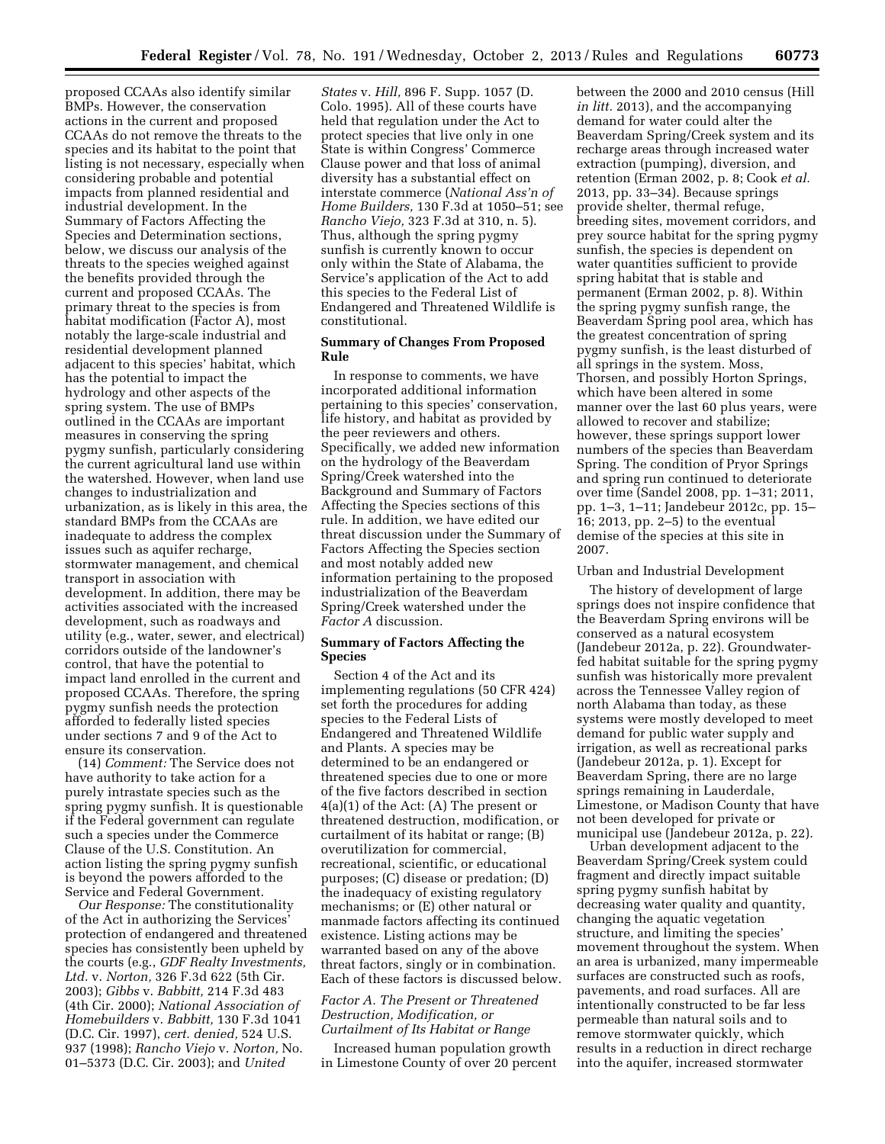proposed CCAAs also identify similar BMPs. However, the conservation actions in the current and proposed CCAAs do not remove the threats to the species and its habitat to the point that listing is not necessary, especially when considering probable and potential impacts from planned residential and industrial development. In the Summary of Factors Affecting the Species and Determination sections, below, we discuss our analysis of the threats to the species weighed against the benefits provided through the current and proposed CCAAs. The primary threat to the species is from habitat modification (Factor A), most notably the large-scale industrial and residential development planned adjacent to this species' habitat, which has the potential to impact the hydrology and other aspects of the spring system. The use of BMPs outlined in the CCAAs are important measures in conserving the spring pygmy sunfish, particularly considering the current agricultural land use within the watershed. However, when land use changes to industrialization and urbanization, as is likely in this area, the standard BMPs from the CCAAs are inadequate to address the complex issues such as aquifer recharge, stormwater management, and chemical transport in association with development. In addition, there may be activities associated with the increased development, such as roadways and utility (e.g., water, sewer, and electrical) corridors outside of the landowner's control, that have the potential to impact land enrolled in the current and proposed CCAAs. Therefore, the spring pygmy sunfish needs the protection afforded to federally listed species under sections 7 and 9 of the Act to ensure its conservation.

(14) *Comment:* The Service does not have authority to take action for a purely intrastate species such as the spring pygmy sunfish. It is questionable if the Federal government can regulate such a species under the Commerce Clause of the U.S. Constitution. An action listing the spring pygmy sunfish is beyond the powers afforded to the Service and Federal Government.

*Our Response:* The constitutionality of the Act in authorizing the Services' protection of endangered and threatened species has consistently been upheld by the courts (e.g., *GDF Realty Investments, Ltd.* v. *Norton,* 326 F.3d 622 (5th Cir. 2003); *Gibbs* v. *Babbitt,* 214 F.3d 483 (4th Cir. 2000); *National Association of Homebuilders* v. *Babbitt,* 130 F.3d 1041 (D.C. Cir. 1997), *cert. denied,* 524 U.S. 937 (1998); *Rancho Viejo* v. *Norton,* No. 01–5373 (D.C. Cir. 2003); and *United* 

*States* v. *Hill,* 896 F. Supp. 1057 (D. Colo. 1995). All of these courts have held that regulation under the Act to protect species that live only in one State is within Congress' Commerce Clause power and that loss of animal diversity has a substantial effect on interstate commerce (*National Ass'n of Home Builders,* 130 F.3d at 1050–51; see *Rancho Viejo,* 323 F.3d at 310, n. 5). Thus, although the spring pygmy sunfish is currently known to occur only within the State of Alabama, the Service's application of the Act to add this species to the Federal List of Endangered and Threatened Wildlife is constitutional.

## **Summary of Changes From Proposed Rule**

In response to comments, we have incorporated additional information pertaining to this species' conservation, life history, and habitat as provided by the peer reviewers and others. Specifically, we added new information on the hydrology of the Beaverdam Spring/Creek watershed into the Background and Summary of Factors Affecting the Species sections of this rule. In addition, we have edited our threat discussion under the Summary of Factors Affecting the Species section and most notably added new information pertaining to the proposed industrialization of the Beaverdam Spring/Creek watershed under the *Factor A* discussion.

## **Summary of Factors Affecting the Species**

Section 4 of the Act and its implementing regulations (50 CFR 424) set forth the procedures for adding species to the Federal Lists of Endangered and Threatened Wildlife and Plants. A species may be determined to be an endangered or threatened species due to one or more of the five factors described in section 4(a)(1) of the Act: (A) The present or threatened destruction, modification, or curtailment of its habitat or range; (B) overutilization for commercial, recreational, scientific, or educational purposes; (C) disease or predation; (D) the inadequacy of existing regulatory mechanisms; or (E) other natural or manmade factors affecting its continued existence. Listing actions may be warranted based on any of the above threat factors, singly or in combination. Each of these factors is discussed below.

### *Factor A. The Present or Threatened Destruction, Modification, or Curtailment of Its Habitat or Range*

Increased human population growth in Limestone County of over 20 percent between the 2000 and 2010 census (Hill *in litt.* 2013), and the accompanying demand for water could alter the Beaverdam Spring/Creek system and its recharge areas through increased water extraction (pumping), diversion, and retention (Erman 2002, p. 8; Cook *et al.*  2013, pp. 33–34). Because springs provide shelter, thermal refuge, breeding sites, movement corridors, and prey source habitat for the spring pygmy sunfish, the species is dependent on water quantities sufficient to provide spring habitat that is stable and permanent (Erman 2002, p. 8). Within the spring pygmy sunfish range, the Beaverdam Spring pool area, which has the greatest concentration of spring pygmy sunfish, is the least disturbed of all springs in the system. Moss, Thorsen, and possibly Horton Springs, which have been altered in some manner over the last 60 plus years, were allowed to recover and stabilize; however, these springs support lower numbers of the species than Beaverdam Spring. The condition of Pryor Springs and spring run continued to deteriorate over time (Sandel 2008, pp. 1–31; 2011, pp. 1–3, 1–11; Jandebeur 2012c, pp. 15– 16; 2013, pp. 2–5) to the eventual demise of the species at this site in 2007.

### Urban and Industrial Development

The history of development of large springs does not inspire confidence that the Beaverdam Spring environs will be conserved as a natural ecosystem (Jandebeur 2012a, p. 22). Groundwaterfed habitat suitable for the spring pygmy sunfish was historically more prevalent across the Tennessee Valley region of north Alabama than today, as these systems were mostly developed to meet demand for public water supply and irrigation, as well as recreational parks (Jandebeur 2012a, p. 1). Except for Beaverdam Spring, there are no large springs remaining in Lauderdale, Limestone, or Madison County that have not been developed for private or municipal use (Jandebeur 2012a, p. 22).

Urban development adjacent to the Beaverdam Spring/Creek system could fragment and directly impact suitable spring pygmy sunfish habitat by decreasing water quality and quantity, changing the aquatic vegetation structure, and limiting the species' movement throughout the system. When an area is urbanized, many impermeable surfaces are constructed such as roofs, pavements, and road surfaces. All are intentionally constructed to be far less permeable than natural soils and to remove stormwater quickly, which results in a reduction in direct recharge into the aquifer, increased stormwater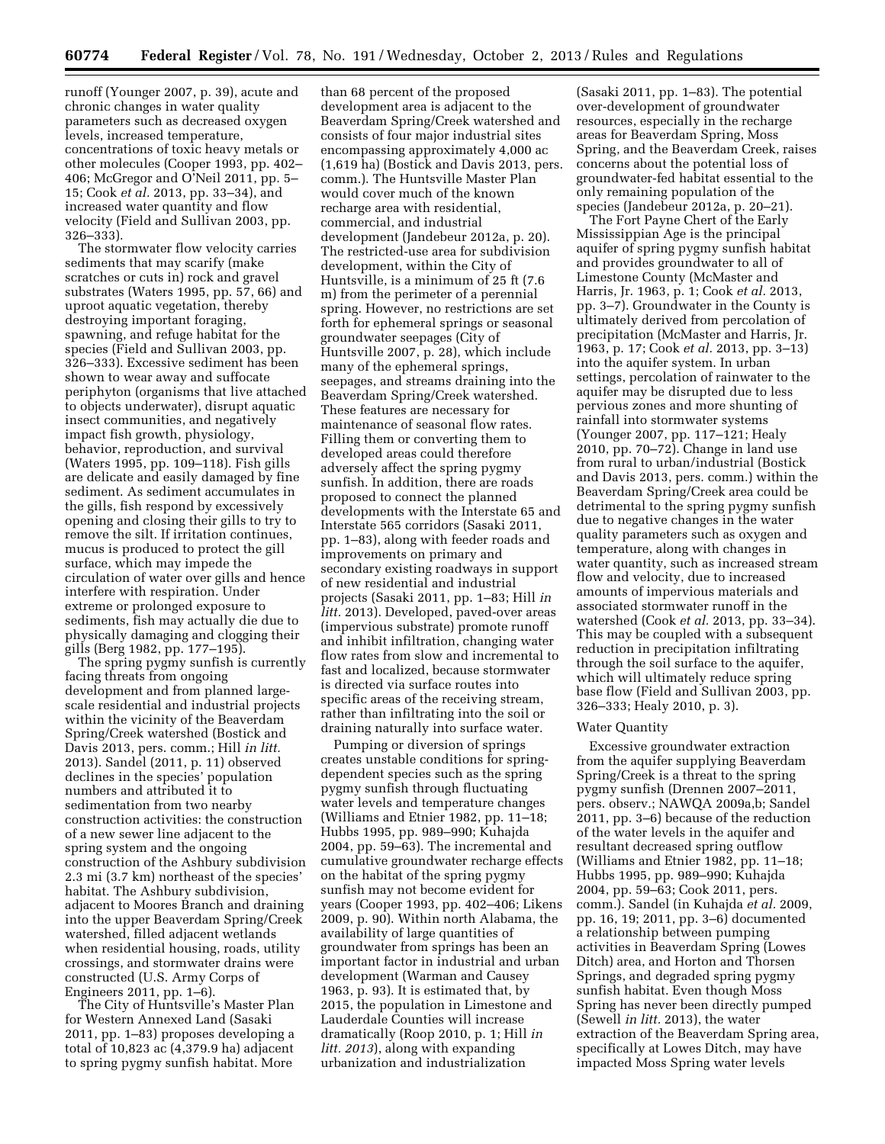runoff (Younger 2007, p. 39), acute and chronic changes in water quality parameters such as decreased oxygen levels, increased temperature, concentrations of toxic heavy metals or other molecules (Cooper 1993, pp. 402– 406; McGregor and O'Neil 2011, pp. 5– 15; Cook *et al.* 2013, pp. 33–34), and increased water quantity and flow velocity (Field and Sullivan 2003, pp. 326–333).

The stormwater flow velocity carries sediments that may scarify (make scratches or cuts in) rock and gravel substrates (Waters 1995, pp. 57, 66) and uproot aquatic vegetation, thereby destroying important foraging, spawning, and refuge habitat for the species (Field and Sullivan 2003, pp. 326–333). Excessive sediment has been shown to wear away and suffocate periphyton (organisms that live attached to objects underwater), disrupt aquatic insect communities, and negatively impact fish growth, physiology, behavior, reproduction, and survival (Waters 1995, pp. 109–118). Fish gills are delicate and easily damaged by fine sediment. As sediment accumulates in the gills, fish respond by excessively opening and closing their gills to try to remove the silt. If irritation continues, mucus is produced to protect the gill surface, which may impede the circulation of water over gills and hence interfere with respiration. Under extreme or prolonged exposure to sediments, fish may actually die due to physically damaging and clogging their gills (Berg 1982, pp. 177–195).

The spring pygmy sunfish is currently facing threats from ongoing development and from planned largescale residential and industrial projects within the vicinity of the Beaverdam Spring/Creek watershed (Bostick and Davis 2013, pers. comm.; Hill *in litt.*  2013). Sandel (2011, p. 11) observed declines in the species' population numbers and attributed it to sedimentation from two nearby construction activities: the construction of a new sewer line adjacent to the spring system and the ongoing construction of the Ashbury subdivision 2.3 mi (3.7 km) northeast of the species' habitat. The Ashbury subdivision, adjacent to Moores Branch and draining into the upper Beaverdam Spring/Creek watershed, filled adjacent wetlands when residential housing, roads, utility crossings, and stormwater drains were constructed (U.S. Army Corps of Engineers 2011, pp. 1–6).

The City of Huntsville's Master Plan for Western Annexed Land (Sasaki 2011, pp. 1–83) proposes developing a total of 10,823 ac (4,379.9 ha) adjacent to spring pygmy sunfish habitat. More

than 68 percent of the proposed development area is adjacent to the Beaverdam Spring/Creek watershed and consists of four major industrial sites encompassing approximately 4,000 ac (1,619 ha) (Bostick and Davis 2013, pers. comm.). The Huntsville Master Plan would cover much of the known recharge area with residential, commercial, and industrial development (Jandebeur 2012a, p. 20). The restricted-use area for subdivision development, within the City of Huntsville, is a minimum of 25 ft (7.6 m) from the perimeter of a perennial spring. However, no restrictions are set forth for ephemeral springs or seasonal groundwater seepages (City of Huntsville 2007, p. 28), which include many of the ephemeral springs, seepages, and streams draining into the Beaverdam Spring/Creek watershed. These features are necessary for maintenance of seasonal flow rates. Filling them or converting them to developed areas could therefore adversely affect the spring pygmy sunfish. In addition, there are roads proposed to connect the planned developments with the Interstate 65 and Interstate 565 corridors (Sasaki 2011, pp. 1–83), along with feeder roads and improvements on primary and secondary existing roadways in support of new residential and industrial projects (Sasaki 2011, pp. 1–83; Hill *in litt.* 2013). Developed, paved-over areas (impervious substrate) promote runoff and inhibit infiltration, changing water flow rates from slow and incremental to fast and localized, because stormwater is directed via surface routes into specific areas of the receiving stream, rather than infiltrating into the soil or draining naturally into surface water.

Pumping or diversion of springs creates unstable conditions for springdependent species such as the spring pygmy sunfish through fluctuating water levels and temperature changes (Williams and Etnier 1982, pp. 11–18; Hubbs 1995, pp. 989–990; Kuhajda 2004, pp. 59–63). The incremental and cumulative groundwater recharge effects on the habitat of the spring pygmy sunfish may not become evident for years (Cooper 1993, pp. 402–406; Likens 2009, p. 90). Within north Alabama, the availability of large quantities of groundwater from springs has been an important factor in industrial and urban development (Warman and Causey 1963, p. 93). It is estimated that, by 2015, the population in Limestone and Lauderdale Counties will increase dramatically (Roop 2010, p. 1; Hill *in litt. 2013*), along with expanding urbanization and industrialization

(Sasaki 2011, pp. 1–83). The potential over-development of groundwater resources, especially in the recharge areas for Beaverdam Spring, Moss Spring, and the Beaverdam Creek, raises concerns about the potential loss of groundwater-fed habitat essential to the only remaining population of the species (Jandebeur 2012a, p. 20–21).

The Fort Payne Chert of the Early Mississippian Age is the principal aquifer of spring pygmy sunfish habitat and provides groundwater to all of Limestone County (McMaster and Harris, Jr. 1963, p. 1; Cook *et al.* 2013, pp. 3–7). Groundwater in the County is ultimately derived from percolation of precipitation (McMaster and Harris, Jr. 1963, p. 17; Cook *et al.* 2013, pp. 3–13) into the aquifer system. In urban settings, percolation of rainwater to the aquifer may be disrupted due to less pervious zones and more shunting of rainfall into stormwater systems (Younger 2007, pp. 117–121; Healy 2010, pp. 70–72). Change in land use from rural to urban/industrial (Bostick and Davis 2013, pers. comm.) within the Beaverdam Spring/Creek area could be detrimental to the spring pygmy sunfish due to negative changes in the water quality parameters such as oxygen and temperature, along with changes in water quantity, such as increased stream flow and velocity, due to increased amounts of impervious materials and associated stormwater runoff in the watershed (Cook *et al.* 2013, pp. 33–34). This may be coupled with a subsequent reduction in precipitation infiltrating through the soil surface to the aquifer, which will ultimately reduce spring base flow (Field and Sullivan 2003, pp. 326–333; Healy 2010, p. 3).

### Water Quantity

Excessive groundwater extraction from the aquifer supplying Beaverdam Spring/Creek is a threat to the spring pygmy sunfish (Drennen 2007–2011, pers. observ.; NAWQA 2009a,b; Sandel 2011, pp. 3–6) because of the reduction of the water levels in the aquifer and resultant decreased spring outflow (Williams and Etnier 1982, pp. 11–18; Hubbs 1995, pp. 989–990; Kuhajda 2004, pp. 59–63; Cook 2011, pers. comm.). Sandel (in Kuhajda *et al.* 2009, pp. 16, 19; 2011, pp. 3–6) documented a relationship between pumping activities in Beaverdam Spring (Lowes Ditch) area, and Horton and Thorsen Springs, and degraded spring pygmy sunfish habitat. Even though Moss Spring has never been directly pumped (Sewell *in litt.* 2013), the water extraction of the Beaverdam Spring area, specifically at Lowes Ditch, may have impacted Moss Spring water levels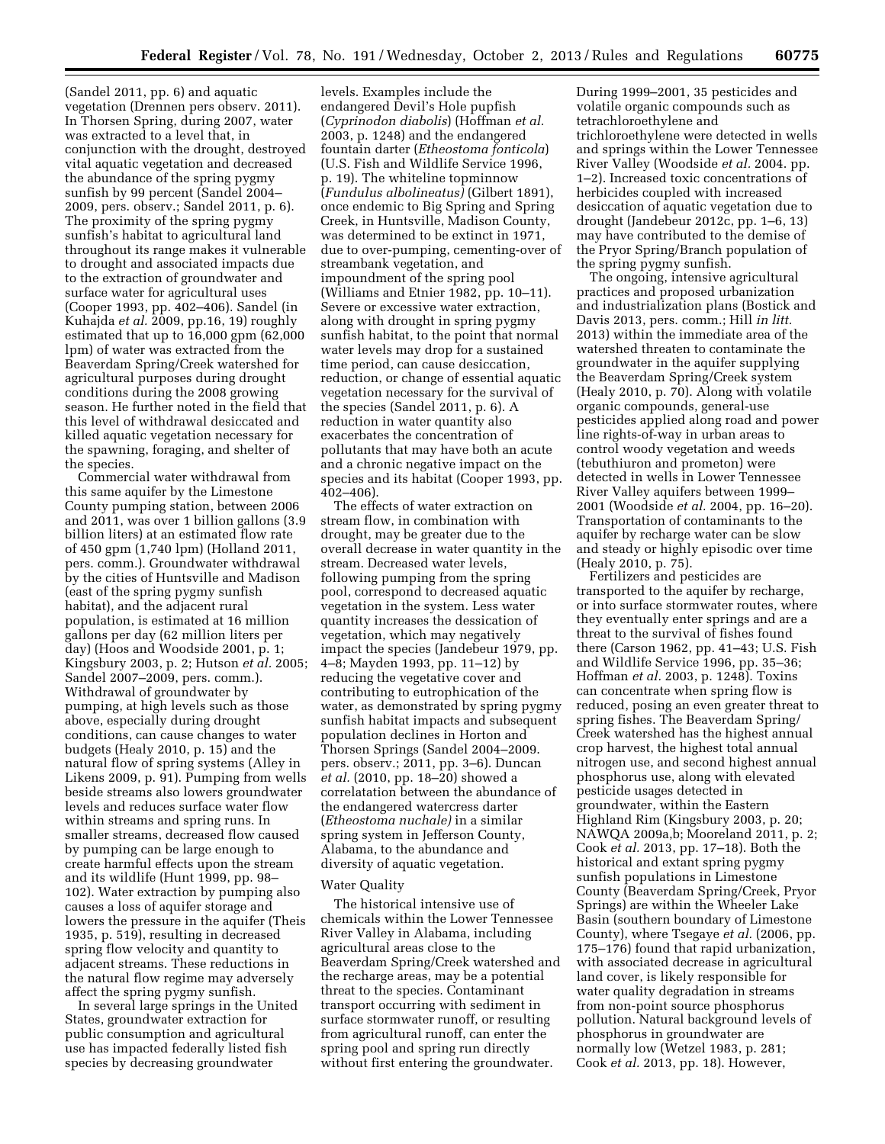(Sandel 2011, pp. 6) and aquatic vegetation (Drennen pers observ. 2011). In Thorsen Spring, during 2007, water was extracted to a level that, in conjunction with the drought, destroyed vital aquatic vegetation and decreased the abundance of the spring pygmy sunfish by 99 percent (Sandel 2004– 2009, pers. observ.; Sandel 2011, p. 6). The proximity of the spring pygmy sunfish's habitat to agricultural land throughout its range makes it vulnerable to drought and associated impacts due to the extraction of groundwater and surface water for agricultural uses (Cooper 1993, pp. 402–406). Sandel (in Kuhajda *et al.* 2009, pp.16, 19) roughly estimated that up to 16,000 gpm (62,000 lpm) of water was extracted from the Beaverdam Spring/Creek watershed for agricultural purposes during drought conditions during the 2008 growing season. He further noted in the field that this level of withdrawal desiccated and killed aquatic vegetation necessary for the spawning, foraging, and shelter of the species.

Commercial water withdrawal from this same aquifer by the Limestone County pumping station, between 2006 and 2011, was over 1 billion gallons (3.9 billion liters) at an estimated flow rate of 450 gpm (1,740 lpm) (Holland 2011, pers. comm.). Groundwater withdrawal by the cities of Huntsville and Madison (east of the spring pygmy sunfish habitat), and the adjacent rural population, is estimated at 16 million gallons per day (62 million liters per day) (Hoos and Woodside 2001, p. 1; Kingsbury 2003, p. 2; Hutson *et al.* 2005; Sandel 2007–2009, pers. comm.). Withdrawal of groundwater by pumping, at high levels such as those above, especially during drought conditions, can cause changes to water budgets (Healy 2010, p. 15) and the natural flow of spring systems (Alley in Likens 2009, p. 91). Pumping from wells beside streams also lowers groundwater levels and reduces surface water flow within streams and spring runs. In smaller streams, decreased flow caused by pumping can be large enough to create harmful effects upon the stream and its wildlife (Hunt 1999, pp. 98– 102). Water extraction by pumping also causes a loss of aquifer storage and lowers the pressure in the aquifer (Theis 1935, p. 519), resulting in decreased spring flow velocity and quantity to adjacent streams. These reductions in the natural flow regime may adversely affect the spring pygmy sunfish.

In several large springs in the United States, groundwater extraction for public consumption and agricultural use has impacted federally listed fish species by decreasing groundwater

levels. Examples include the endangered Devil's Hole pupfish (*Cyprinodon diabolis*) (Hoffman *et al.*  2003, p. 1248) and the endangered fountain darter (*Etheostoma fonticola*) (U.S. Fish and Wildlife Service 1996, p. 19). The whiteline topminnow (*Fundulus albolineatus)* (Gilbert 1891), once endemic to Big Spring and Spring Creek, in Huntsville, Madison County, was determined to be extinct in 1971, due to over-pumping, cementing-over of streambank vegetation, and impoundment of the spring pool (Williams and Etnier 1982, pp. 10–11). Severe or excessive water extraction, along with drought in spring pygmy sunfish habitat, to the point that normal water levels may drop for a sustained time period, can cause desiccation, reduction, or change of essential aquatic vegetation necessary for the survival of the species (Sandel 2011, p. 6). A reduction in water quantity also exacerbates the concentration of pollutants that may have both an acute and a chronic negative impact on the species and its habitat (Cooper 1993, pp. 402–406).

The effects of water extraction on stream flow, in combination with drought, may be greater due to the overall decrease in water quantity in the stream. Decreased water levels, following pumping from the spring pool, correspond to decreased aquatic vegetation in the system. Less water quantity increases the dessication of vegetation, which may negatively impact the species (Jandebeur 1979, pp. 4–8; Mayden 1993, pp. 11–12) by reducing the vegetative cover and contributing to eutrophication of the water, as demonstrated by spring pygmy sunfish habitat impacts and subsequent population declines in Horton and Thorsen Springs (Sandel 2004–2009. pers. observ.; 2011, pp. 3–6). Duncan *et al.* (2010, pp. 18–20) showed a correlatation between the abundance of the endangered watercress darter (*Etheostoma nuchale)* in a similar spring system in Jefferson County, Alabama, to the abundance and diversity of aquatic vegetation.

#### Water Quality

The historical intensive use of chemicals within the Lower Tennessee River Valley in Alabama, including agricultural areas close to the Beaverdam Spring/Creek watershed and the recharge areas, may be a potential threat to the species. Contaminant transport occurring with sediment in surface stormwater runoff, or resulting from agricultural runoff, can enter the spring pool and spring run directly without first entering the groundwater.

During 1999–2001, 35 pesticides and volatile organic compounds such as tetrachloroethylene and trichloroethylene were detected in wells and springs within the Lower Tennessee River Valley (Woodside *et al.* 2004. pp. 1–2). Increased toxic concentrations of herbicides coupled with increased desiccation of aquatic vegetation due to drought (Jandebeur 2012c, pp. 1–6, 13) may have contributed to the demise of the Pryor Spring/Branch population of the spring pygmy sunfish.

The ongoing, intensive agricultural practices and proposed urbanization and industrialization plans (Bostick and Davis 2013, pers. comm.; Hill *in litt.*  2013) within the immediate area of the watershed threaten to contaminate the groundwater in the aquifer supplying the Beaverdam Spring/Creek system (Healy 2010, p. 70). Along with volatile organic compounds, general-use pesticides applied along road and power line rights-of-way in urban areas to control woody vegetation and weeds (tebuthiuron and prometon) were detected in wells in Lower Tennessee River Valley aquifers between 1999– 2001 (Woodside *et al.* 2004, pp. 16–20). Transportation of contaminants to the aquifer by recharge water can be slow and steady or highly episodic over time (Healy 2010, p. 75).

Fertilizers and pesticides are transported to the aquifer by recharge, or into surface stormwater routes, where they eventually enter springs and are a threat to the survival of fishes found there (Carson 1962, pp. 41–43; U.S. Fish and Wildlife Service 1996, pp. 35–36; Hoffman *et al.* 2003, p. 1248). Toxins can concentrate when spring flow is reduced, posing an even greater threat to spring fishes. The Beaverdam Spring/ Creek watershed has the highest annual crop harvest, the highest total annual nitrogen use, and second highest annual phosphorus use, along with elevated pesticide usages detected in groundwater, within the Eastern Highland Rim (Kingsbury 2003, p. 20; NAWQA 2009a,b; Mooreland 2011, p. 2; Cook *et al.* 2013, pp. 17–18). Both the historical and extant spring pygmy sunfish populations in Limestone County (Beaverdam Spring/Creek, Pryor Springs) are within the Wheeler Lake Basin (southern boundary of Limestone County), where Tsegaye *et al.* (2006, pp. 175–176) found that rapid urbanization, with associated decrease in agricultural land cover, is likely responsible for water quality degradation in streams from non-point source phosphorus pollution. Natural background levels of phosphorus in groundwater are normally low (Wetzel 1983, p. 281; Cook *et al.* 2013, pp. 18). However,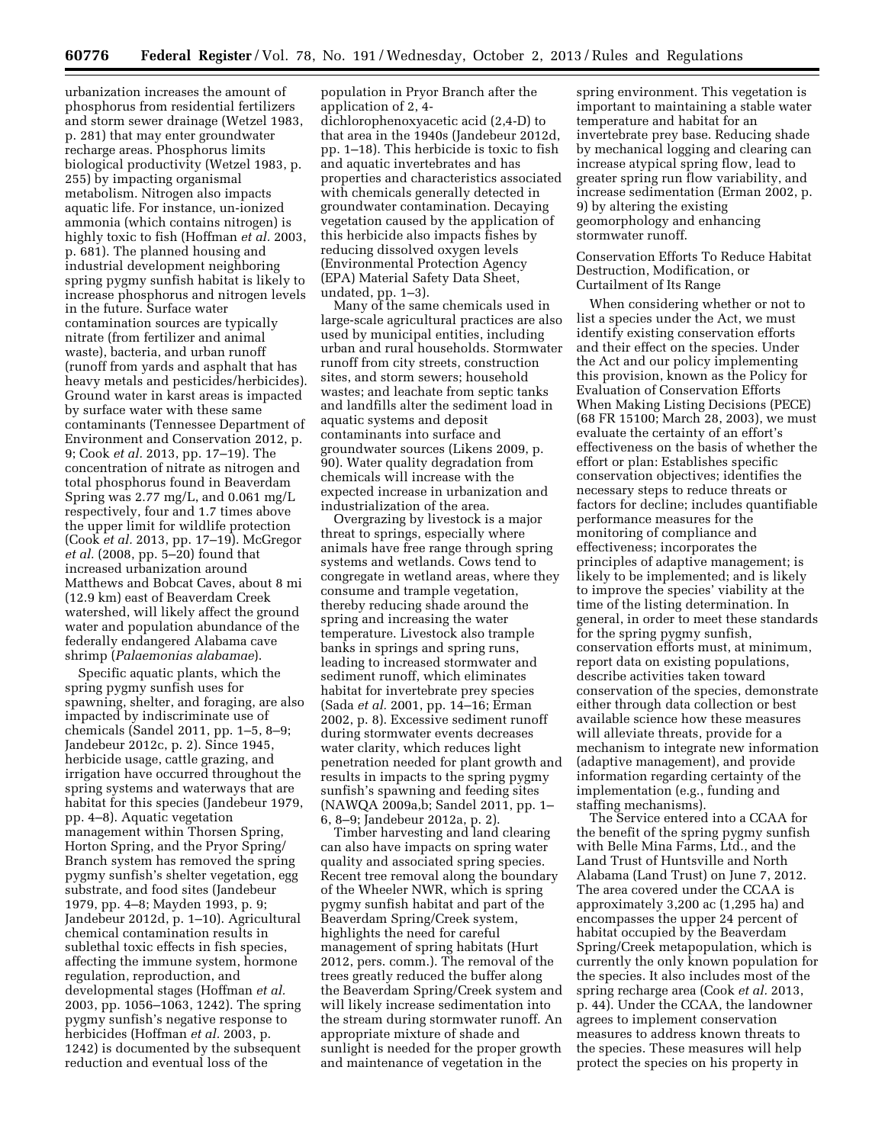urbanization increases the amount of phosphorus from residential fertilizers and storm sewer drainage (Wetzel 1983, p. 281) that may enter groundwater recharge areas. Phosphorus limits biological productivity (Wetzel 1983, p. 255) by impacting organismal metabolism. Nitrogen also impacts aquatic life. For instance, un-ionized ammonia (which contains nitrogen) is highly toxic to fish (Hoffman *et al.* 2003, p. 681). The planned housing and industrial development neighboring spring pygmy sunfish habitat is likely to increase phosphorus and nitrogen levels in the future. Surface water contamination sources are typically nitrate (from fertilizer and animal waste), bacteria, and urban runoff (runoff from yards and asphalt that has heavy metals and pesticides/herbicides). Ground water in karst areas is impacted by surface water with these same contaminants (Tennessee Department of Environment and Conservation 2012, p. 9; Cook *et al.* 2013, pp. 17–19). The concentration of nitrate as nitrogen and total phosphorus found in Beaverdam Spring was 2.77 mg/L, and 0.061 mg/L respectively, four and 1.7 times above the upper limit for wildlife protection (Cook *et al.* 2013, pp. 17–19). McGregor *et al.* (2008, pp. 5–20) found that increased urbanization around Matthews and Bobcat Caves, about 8 mi (12.9 km) east of Beaverdam Creek watershed, will likely affect the ground water and population abundance of the federally endangered Alabama cave shrimp (*Palaemonias alabamae*).

Specific aquatic plants, which the spring pygmy sunfish uses for spawning, shelter, and foraging, are also impacted by indiscriminate use of chemicals (Sandel 2011, pp. 1–5, 8–9; Jandebeur 2012c, p. 2). Since 1945, herbicide usage, cattle grazing, and irrigation have occurred throughout the spring systems and waterways that are habitat for this species (Jandebeur 1979, pp. 4–8). Aquatic vegetation management within Thorsen Spring, Horton Spring, and the Pryor Spring/ Branch system has removed the spring pygmy sunfish's shelter vegetation, egg substrate, and food sites (Jandebeur 1979, pp. 4–8; Mayden 1993, p. 9; Jandebeur 2012d, p. 1–10). Agricultural chemical contamination results in sublethal toxic effects in fish species, affecting the immune system, hormone regulation, reproduction, and developmental stages (Hoffman *et al.*  2003, pp. 1056–1063, 1242). The spring pygmy sunfish's negative response to herbicides (Hoffman *et al.* 2003, p. 1242) is documented by the subsequent reduction and eventual loss of the

population in Pryor Branch after the application of 2, 4-

dichlorophenoxyacetic acid (2,4-D) to that area in the 1940s (Jandebeur 2012d, pp. 1–18). This herbicide is toxic to fish and aquatic invertebrates and has properties and characteristics associated with chemicals generally detected in groundwater contamination. Decaying vegetation caused by the application of this herbicide also impacts fishes by reducing dissolved oxygen levels (Environmental Protection Agency (EPA) Material Safety Data Sheet, undated, pp. 1–3).

Many of the same chemicals used in large-scale agricultural practices are also used by municipal entities, including urban and rural households. Stormwater runoff from city streets, construction sites, and storm sewers; household wastes; and leachate from septic tanks and landfills alter the sediment load in aquatic systems and deposit contaminants into surface and groundwater sources (Likens 2009, p. 90). Water quality degradation from chemicals will increase with the expected increase in urbanization and industrialization of the area.

Overgrazing by livestock is a major threat to springs, especially where animals have free range through spring systems and wetlands. Cows tend to congregate in wetland areas, where they consume and trample vegetation, thereby reducing shade around the spring and increasing the water temperature. Livestock also trample banks in springs and spring runs, leading to increased stormwater and sediment runoff, which eliminates habitat for invertebrate prey species (Sada *et al.* 2001, pp. 14–16; Erman 2002, p. 8). Excessive sediment runoff during stormwater events decreases water clarity, which reduces light penetration needed for plant growth and results in impacts to the spring pygmy sunfish's spawning and feeding sites (NAWQA 2009a,b; Sandel 2011, pp. 1– 6, 8–9; Jandebeur 2012a, p. 2).

Timber harvesting and land clearing can also have impacts on spring water quality and associated spring species. Recent tree removal along the boundary of the Wheeler NWR, which is spring pygmy sunfish habitat and part of the Beaverdam Spring/Creek system, highlights the need for careful management of spring habitats (Hurt 2012, pers. comm.). The removal of the trees greatly reduced the buffer along the Beaverdam Spring/Creek system and will likely increase sedimentation into the stream during stormwater runoff. An appropriate mixture of shade and sunlight is needed for the proper growth and maintenance of vegetation in the

spring environment. This vegetation is important to maintaining a stable water temperature and habitat for an invertebrate prey base. Reducing shade by mechanical logging and clearing can increase atypical spring flow, lead to greater spring run flow variability, and increase sedimentation (Erman 2002, p. 9) by altering the existing geomorphology and enhancing stormwater runoff.

Conservation Efforts To Reduce Habitat Destruction, Modification, or Curtailment of Its Range

When considering whether or not to list a species under the Act, we must identify existing conservation efforts and their effect on the species. Under the Act and our policy implementing this provision, known as the Policy for Evaluation of Conservation Efforts When Making Listing Decisions (PECE) (68 FR 15100; March 28, 2003), we must evaluate the certainty of an effort's effectiveness on the basis of whether the effort or plan: Establishes specific conservation objectives; identifies the necessary steps to reduce threats or factors for decline; includes quantifiable performance measures for the monitoring of compliance and effectiveness; incorporates the principles of adaptive management; is likely to be implemented; and is likely to improve the species' viability at the time of the listing determination. In general, in order to meet these standards for the spring pygmy sunfish, conservation efforts must, at minimum, report data on existing populations, describe activities taken toward conservation of the species, demonstrate either through data collection or best available science how these measures will alleviate threats, provide for a mechanism to integrate new information (adaptive management), and provide information regarding certainty of the implementation (e.g., funding and staffing mechanisms).

The Service entered into a CCAA for the benefit of the spring pygmy sunfish with Belle Mina Farms, Ltd., and the Land Trust of Huntsville and North Alabama (Land Trust) on June 7, 2012. The area covered under the CCAA is approximately 3,200 ac (1,295 ha) and encompasses the upper 24 percent of habitat occupied by the Beaverdam Spring/Creek metapopulation, which is currently the only known population for the species. It also includes most of the spring recharge area (Cook *et al.* 2013, p. 44). Under the CCAA, the landowner agrees to implement conservation measures to address known threats to the species. These measures will help protect the species on his property in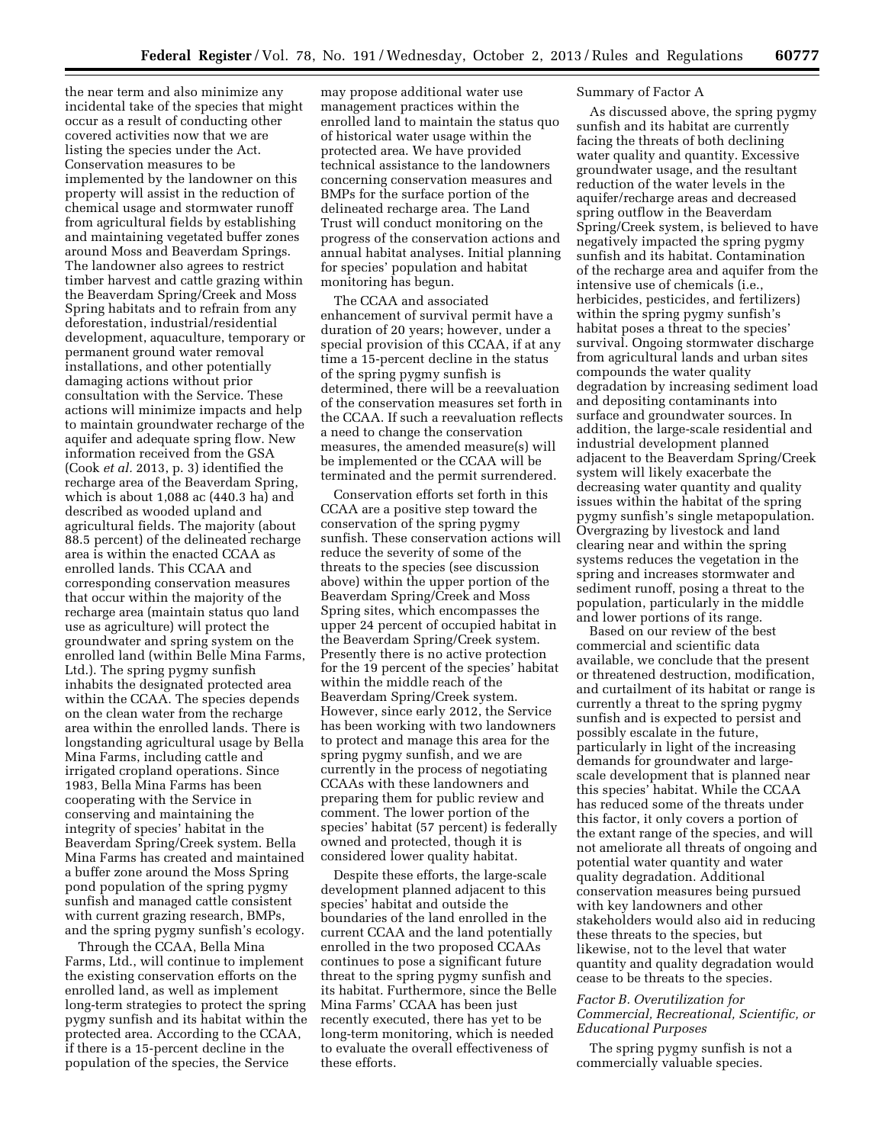the near term and also minimize any incidental take of the species that might occur as a result of conducting other covered activities now that we are listing the species under the Act. Conservation measures to be implemented by the landowner on this property will assist in the reduction of chemical usage and stormwater runoff from agricultural fields by establishing and maintaining vegetated buffer zones around Moss and Beaverdam Springs. The landowner also agrees to restrict timber harvest and cattle grazing within the Beaverdam Spring/Creek and Moss Spring habitats and to refrain from any deforestation, industrial/residential development, aquaculture, temporary or permanent ground water removal installations, and other potentially damaging actions without prior consultation with the Service. These actions will minimize impacts and help to maintain groundwater recharge of the aquifer and adequate spring flow. New information received from the GSA (Cook *et al.* 2013, p. 3) identified the recharge area of the Beaverdam Spring, which is about 1,088 ac (440.3 ha) and described as wooded upland and agricultural fields. The majority (about 88.5 percent) of the delineated recharge area is within the enacted CCAA as enrolled lands. This CCAA and corresponding conservation measures that occur within the majority of the recharge area (maintain status quo land use as agriculture) will protect the groundwater and spring system on the enrolled land (within Belle Mina Farms, Ltd.). The spring pygmy sunfish inhabits the designated protected area within the CCAA. The species depends on the clean water from the recharge area within the enrolled lands. There is longstanding agricultural usage by Bella Mina Farms, including cattle and irrigated cropland operations. Since 1983, Bella Mina Farms has been cooperating with the Service in conserving and maintaining the integrity of species' habitat in the Beaverdam Spring/Creek system. Bella Mina Farms has created and maintained a buffer zone around the Moss Spring pond population of the spring pygmy sunfish and managed cattle consistent with current grazing research, BMPs, and the spring pygmy sunfish's ecology.

Through the CCAA, Bella Mina Farms, Ltd., will continue to implement the existing conservation efforts on the enrolled land, as well as implement long-term strategies to protect the spring pygmy sunfish and its habitat within the protected area. According to the CCAA, if there is a 15-percent decline in the population of the species, the Service

may propose additional water use management practices within the enrolled land to maintain the status quo of historical water usage within the protected area. We have provided technical assistance to the landowners concerning conservation measures and BMPs for the surface portion of the delineated recharge area. The Land Trust will conduct monitoring on the progress of the conservation actions and annual habitat analyses. Initial planning for species' population and habitat monitoring has begun.

The CCAA and associated enhancement of survival permit have a duration of 20 years; however, under a special provision of this CCAA, if at any time a 15-percent decline in the status of the spring pygmy sunfish is determined, there will be a reevaluation of the conservation measures set forth in the CCAA. If such a reevaluation reflects a need to change the conservation measures, the amended measure(s) will be implemented or the CCAA will be terminated and the permit surrendered.

Conservation efforts set forth in this CCAA are a positive step toward the conservation of the spring pygmy sunfish. These conservation actions will reduce the severity of some of the threats to the species (see discussion above) within the upper portion of the Beaverdam Spring/Creek and Moss Spring sites, which encompasses the upper 24 percent of occupied habitat in the Beaverdam Spring/Creek system. Presently there is no active protection for the 19 percent of the species' habitat within the middle reach of the Beaverdam Spring/Creek system. However, since early 2012, the Service has been working with two landowners to protect and manage this area for the spring pygmy sunfish, and we are currently in the process of negotiating CCAAs with these landowners and preparing them for public review and comment. The lower portion of the species' habitat (57 percent) is federally owned and protected, though it is considered lower quality habitat.

Despite these efforts, the large-scale development planned adjacent to this species' habitat and outside the boundaries of the land enrolled in the current CCAA and the land potentially enrolled in the two proposed CCAAs continues to pose a significant future threat to the spring pygmy sunfish and its habitat. Furthermore, since the Belle Mina Farms' CCAA has been just recently executed, there has yet to be long-term monitoring, which is needed to evaluate the overall effectiveness of these efforts.

## Summary of Factor A

As discussed above, the spring pygmy sunfish and its habitat are currently facing the threats of both declining water quality and quantity. Excessive groundwater usage, and the resultant reduction of the water levels in the aquifer/recharge areas and decreased spring outflow in the Beaverdam Spring/Creek system, is believed to have negatively impacted the spring pygmy sunfish and its habitat. Contamination of the recharge area and aquifer from the intensive use of chemicals (i.e., herbicides, pesticides, and fertilizers) within the spring pygmy sunfish's habitat poses a threat to the species' survival. Ongoing stormwater discharge from agricultural lands and urban sites compounds the water quality degradation by increasing sediment load and depositing contaminants into surface and groundwater sources. In addition, the large-scale residential and industrial development planned adjacent to the Beaverdam Spring/Creek system will likely exacerbate the decreasing water quantity and quality issues within the habitat of the spring pygmy sunfish's single metapopulation. Overgrazing by livestock and land clearing near and within the spring systems reduces the vegetation in the spring and increases stormwater and sediment runoff, posing a threat to the population, particularly in the middle and lower portions of its range.

Based on our review of the best commercial and scientific data available, we conclude that the present or threatened destruction, modification, and curtailment of its habitat or range is currently a threat to the spring pygmy sunfish and is expected to persist and possibly escalate in the future, particularly in light of the increasing demands for groundwater and largescale development that is planned near this species' habitat. While the CCAA has reduced some of the threats under this factor, it only covers a portion of the extant range of the species, and will not ameliorate all threats of ongoing and potential water quantity and water quality degradation. Additional conservation measures being pursued with key landowners and other stakeholders would also aid in reducing these threats to the species, but likewise, not to the level that water quantity and quality degradation would cease to be threats to the species.

## *Factor B. Overutilization for Commercial, Recreational, Scientific, or Educational Purposes*

The spring pygmy sunfish is not a commercially valuable species.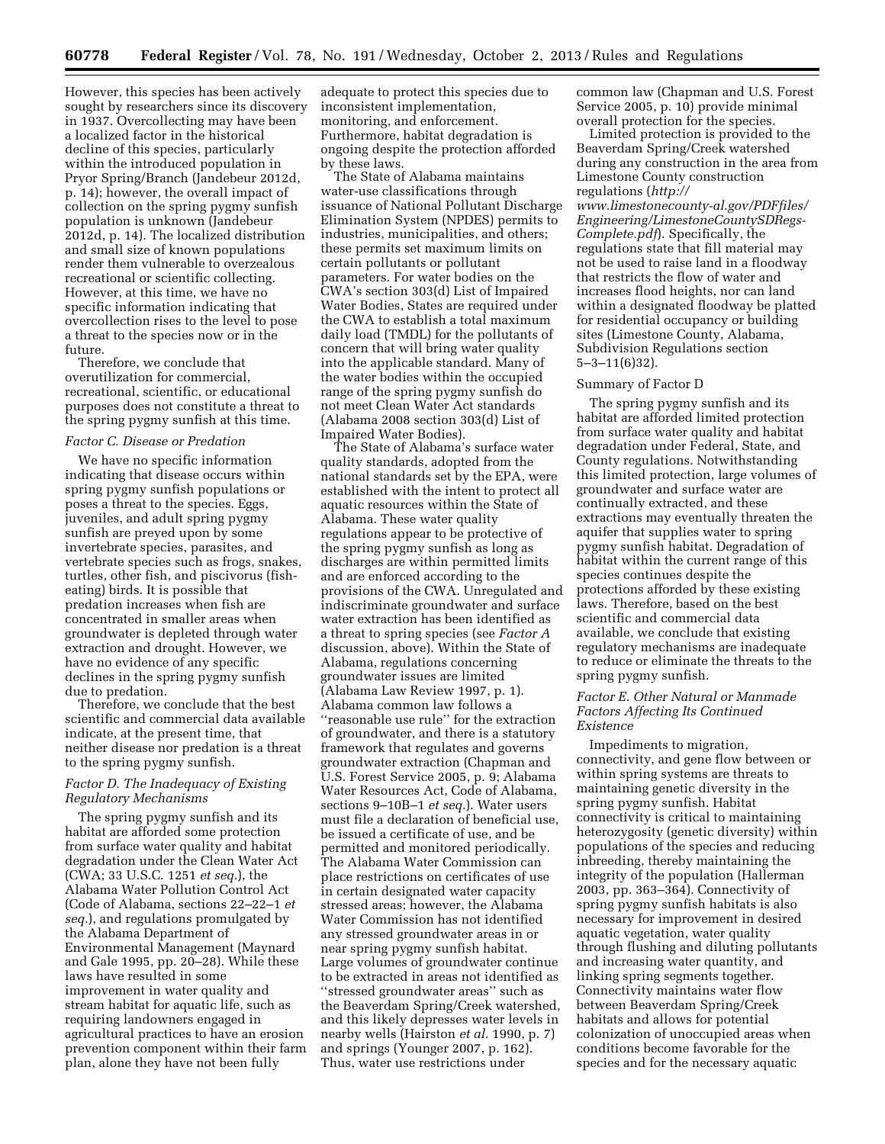However, this species has been actively sought by researchers since its discovery in 1937. Overcollecting may have been a localized factor in the historical decline of this species, particularly within the introduced population in Pryor Spring/Branch (Jandebeur 2012d, p. 14); however, the overall impact of collection on the spring pygmy sunfish population is unknown (Jandebeur 2012d, p. 14). The localized distribution and small size of known populations render them vulnerable to overzealous recreational or scientific collecting. However, at this time, we have no specific information indicating that overcollection rises to the level to pose a threat to the species now or in the future.

Therefore, we conclude that overutilization for commercial, recreational, scientific, or educational purposes does not constitute a threat to the spring pygmy sunfish at this time.

### *Factor C. Disease or Predation*

We have no specific information indicating that disease occurs within spring pygmy sunfish populations or poses a threat to the species. Eggs, juveniles, and adult spring pygmy sunfish are preyed upon by some invertebrate species, parasites, and vertebrate species such as frogs, snakes, turtles, other fish, and piscivorus (fisheating) birds. It is possible that predation increases when fish are concentrated in smaller areas when groundwater is depleted through water extraction and drought. However, we have no evidence of any specific declines in the spring pygmy sunfish due to predation.

Therefore, we conclude that the best scientific and commercial data available indicate, at the present time, that neither disease nor predation is a threat to the spring pygmy sunfish.

## *Factor D. The Inadequacy of Existing Regulatory Mechanisms*

The spring pygmy sunfish and its habitat are afforded some protection from surface water quality and habitat degradation under the Clean Water Act (CWA; 33 U.S.C. 1251 *et seq.*), the Alabama Water Pollution Control Act (Code of Alabama, sections 22–22–1 *et seq.*), and regulations promulgated by the Alabama Department of Environmental Management (Maynard and Gale 1995, pp. 20–28). While these laws have resulted in some improvement in water quality and stream habitat for aquatic life, such as requiring landowners engaged in agricultural practices to have an erosion prevention component within their farm plan, alone they have not been fully

adequate to protect this species due to inconsistent implementation, monitoring, and enforcement. Furthermore, habitat degradation is ongoing despite the protection afforded by these laws.

The State of Alabama maintains water-use classifications through issuance of National Pollutant Discharge Elimination System (NPDES) permits to industries, municipalities, and others; these permits set maximum limits on certain pollutants or pollutant parameters. For water bodies on the CWA's section 303(d) List of Impaired Water Bodies, States are required under the CWA to establish a total maximum daily load (TMDL) for the pollutants of concern that will bring water quality into the applicable standard. Many of the water bodies within the occupied range of the spring pygmy sunfish do not meet Clean Water Act standards (Alabama 2008 section 303(d) List of Impaired Water Bodies).

The State of Alabama's surface water quality standards, adopted from the national standards set by the EPA, were established with the intent to protect all aquatic resources within the State of Alabama. These water quality regulations appear to be protective of the spring pygmy sunfish as long as discharges are within permitted limits and are enforced according to the provisions of the CWA. Unregulated and indiscriminate groundwater and surface water extraction has been identified as a threat to spring species (see *Factor A*  discussion, above). Within the State of Alabama, regulations concerning groundwater issues are limited (Alabama Law Review 1997, p. 1). Alabama common law follows a ''reasonable use rule'' for the extraction of groundwater, and there is a statutory framework that regulates and governs groundwater extraction (Chapman and U.S. Forest Service 2005, p. 9; Alabama Water Resources Act, Code of Alabama, sections 9–10B–1 *et seq.*). Water users must file a declaration of beneficial use, be issued a certificate of use, and be permitted and monitored periodically. The Alabama Water Commission can place restrictions on certificates of use in certain designated water capacity stressed areas; however, the Alabama Water Commission has not identified any stressed groundwater areas in or near spring pygmy sunfish habitat. Large volumes of groundwater continue to be extracted in areas not identified as ''stressed groundwater areas'' such as the Beaverdam Spring/Creek watershed, and this likely depresses water levels in nearby wells (Hairston *et al.* 1990, p. 7) and springs (Younger 2007, p. 162). Thus, water use restrictions under

common law (Chapman and U.S. Forest Service 2005, p. 10) provide minimal overall protection for the species.

Limited protection is provided to the Beaverdam Spring/Creek watershed during any construction in the area from Limestone County construction regulations (*[http://](http://www.limestonecounty-al.gov/PDFfiles/Engineering/LimestoneCountySDRegs-Complete.pdf)*

*[www.limestonecounty-al.gov/PDFfiles/](http://www.limestonecounty-al.gov/PDFfiles/Engineering/LimestoneCountySDRegs-Complete.pdf) [Engineering/LimestoneCountySDRegs-](http://www.limestonecounty-al.gov/PDFfiles/Engineering/LimestoneCountySDRegs-Complete.pdf)[Complete.pdf](http://www.limestonecounty-al.gov/PDFfiles/Engineering/LimestoneCountySDRegs-Complete.pdf)*). Specifically, the regulations state that fill material may not be used to raise land in a floodway that restricts the flow of water and increases flood heights, nor can land within a designated floodway be platted for residential occupancy or building sites (Limestone County, Alabama, Subdivision Regulations section 5–3–11(6)32).

#### Summary of Factor D

The spring pygmy sunfish and its habitat are afforded limited protection from surface water quality and habitat degradation under Federal, State, and County regulations. Notwithstanding this limited protection, large volumes of groundwater and surface water are continually extracted, and these extractions may eventually threaten the aquifer that supplies water to spring pygmy sunfish habitat. Degradation of habitat within the current range of this species continues despite the protections afforded by these existing laws. Therefore, based on the best scientific and commercial data available, we conclude that existing regulatory mechanisms are inadequate to reduce or eliminate the threats to the spring pygmy sunfish.

## *Factor E. Other Natural or Manmade Factors Affecting Its Continued Existence*

Impediments to migration, connectivity, and gene flow between or within spring systems are threats to maintaining genetic diversity in the spring pygmy sunfish. Habitat connectivity is critical to maintaining heterozygosity (genetic diversity) within populations of the species and reducing inbreeding, thereby maintaining the integrity of the population (Hallerman 2003, pp. 363–364). Connectivity of spring pygmy sunfish habitats is also necessary for improvement in desired aquatic vegetation, water quality through flushing and diluting pollutants and increasing water quantity, and linking spring segments together. Connectivity maintains water flow between Beaverdam Spring/Creek habitats and allows for potential colonization of unoccupied areas when conditions become favorable for the species and for the necessary aquatic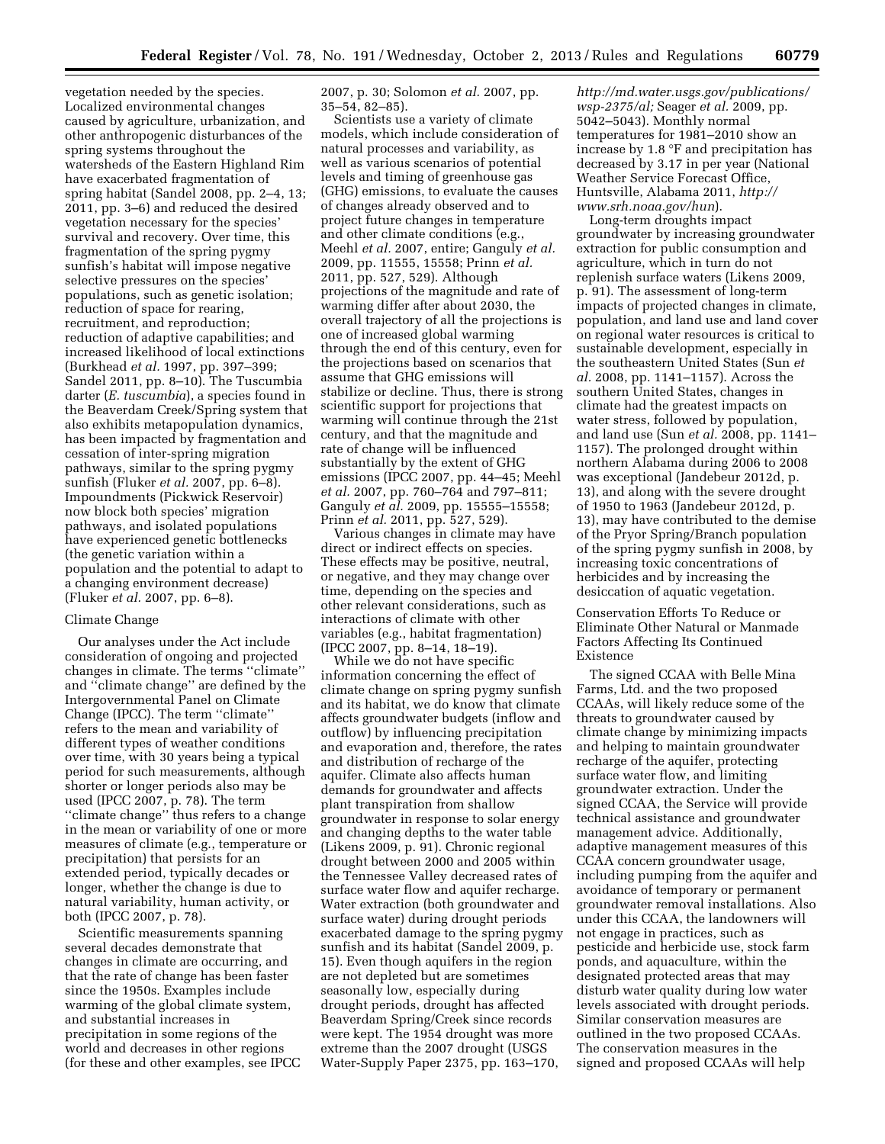vegetation needed by the species. Localized environmental changes caused by agriculture, urbanization, and other anthropogenic disturbances of the spring systems throughout the watersheds of the Eastern Highland Rim have exacerbated fragmentation of spring habitat (Sandel 2008, pp. 2–4, 13; 2011, pp. 3–6) and reduced the desired vegetation necessary for the species' survival and recovery. Over time, this fragmentation of the spring pygmy sunfish's habitat will impose negative selective pressures on the species' populations, such as genetic isolation; reduction of space for rearing, recruitment, and reproduction; reduction of adaptive capabilities; and increased likelihood of local extinctions (Burkhead *et al.* 1997, pp. 397–399; Sandel 2011, pp. 8–10). The Tuscumbia darter (*E. tuscumbia*), a species found in the Beaverdam Creek/Spring system that also exhibits metapopulation dynamics, has been impacted by fragmentation and cessation of inter-spring migration pathways, similar to the spring pygmy sunfish (Fluker *et al.* 2007, pp. 6–8). Impoundments (Pickwick Reservoir) now block both species' migration pathways, and isolated populations have experienced genetic bottlenecks (the genetic variation within a population and the potential to adapt to a changing environment decrease) (Fluker *et al.* 2007, pp. 6–8).

#### Climate Change

Our analyses under the Act include consideration of ongoing and projected changes in climate. The terms ''climate'' and ''climate change'' are defined by the Intergovernmental Panel on Climate Change (IPCC). The term ''climate'' refers to the mean and variability of different types of weather conditions over time, with 30 years being a typical period for such measurements, although shorter or longer periods also may be used (IPCC 2007, p. 78). The term ''climate change'' thus refers to a change in the mean or variability of one or more measures of climate (e.g., temperature or precipitation) that persists for an extended period, typically decades or longer, whether the change is due to natural variability, human activity, or both (IPCC 2007, p. 78).

Scientific measurements spanning several decades demonstrate that changes in climate are occurring, and that the rate of change has been faster since the 1950s. Examples include warming of the global climate system, and substantial increases in precipitation in some regions of the world and decreases in other regions (for these and other examples, see IPCC 2007, p. 30; Solomon *et al.* 2007, pp. 35–54, 82–85).

Scientists use a variety of climate models, which include consideration of natural processes and variability, as well as various scenarios of potential levels and timing of greenhouse gas (GHG) emissions, to evaluate the causes of changes already observed and to project future changes in temperature and other climate conditions (e.g., Meehl *et al.* 2007, entire; Ganguly *et al.*  2009, pp. 11555, 15558; Prinn *et al.*  2011, pp. 527, 529). Although projections of the magnitude and rate of warming differ after about 2030, the overall trajectory of all the projections is one of increased global warming through the end of this century, even for the projections based on scenarios that assume that GHG emissions will stabilize or decline. Thus, there is strong scientific support for projections that warming will continue through the 21st century, and that the magnitude and rate of change will be influenced substantially by the extent of GHG emissions (IPCC 2007, pp. 44–45; Meehl *et al.* 2007, pp. 760–764 and 797–811; Ganguly *et al.* 2009, pp. 15555–15558; Prinn *et al.* 2011, pp. 527, 529).

Various changes in climate may have direct or indirect effects on species. These effects may be positive, neutral, or negative, and they may change over time, depending on the species and other relevant considerations, such as interactions of climate with other variables (e.g., habitat fragmentation) (IPCC 2007, pp. 8–14, 18–19).

While we do not have specific information concerning the effect of climate change on spring pygmy sunfish and its habitat, we do know that climate affects groundwater budgets (inflow and outflow) by influencing precipitation and evaporation and, therefore, the rates and distribution of recharge of the aquifer. Climate also affects human demands for groundwater and affects plant transpiration from shallow groundwater in response to solar energy and changing depths to the water table (Likens 2009, p. 91). Chronic regional drought between 2000 and 2005 within the Tennessee Valley decreased rates of surface water flow and aquifer recharge. Water extraction (both groundwater and surface water) during drought periods exacerbated damage to the spring pygmy sunfish and its habitat (Sandel 2009, p. 15). Even though aquifers in the region are not depleted but are sometimes seasonally low, especially during drought periods, drought has affected Beaverdam Spring/Creek since records were kept. The 1954 drought was more extreme than the 2007 drought (USGS Water-Supply Paper 2375, pp. 163–170,

*[http://md.water.usgs.gov/publications/](http://md.water.usgs.gov/publications/wsp-2375/al) [wsp-2375/al;](http://md.water.usgs.gov/publications/wsp-2375/al)* Seager *et al.* 2009, pp. 5042–5043). Monthly normal temperatures for 1981–2010 show an increase by 1.8 °F and precipitation has decreased by 3.17 in per year (National Weather Service Forecast Office, Huntsville, Alabama 2011, *[http://](http://www.srh.noaa.gov/hun) [www.srh.noaa.gov/hun](http://www.srh.noaa.gov/hun)*).

Long-term droughts impact groundwater by increasing groundwater extraction for public consumption and agriculture, which in turn do not replenish surface waters (Likens 2009, p. 91). The assessment of long-term impacts of projected changes in climate, population, and land use and land cover on regional water resources is critical to sustainable development, especially in the southeastern United States (Sun *et al.* 2008, pp. 1141–1157). Across the southern United States, changes in climate had the greatest impacts on water stress, followed by population, and land use (Sun *et al.* 2008, pp. 1141– 1157). The prolonged drought within northern Alabama during 2006 to 2008 was exceptional (Jandebeur 2012d, p. 13), and along with the severe drought of 1950 to 1963 (Jandebeur 2012d, p. 13), may have contributed to the demise of the Pryor Spring/Branch population of the spring pygmy sunfish in 2008, by increasing toxic concentrations of herbicides and by increasing the desiccation of aquatic vegetation.

## Conservation Efforts To Reduce or Eliminate Other Natural or Manmade Factors Affecting Its Continued Existence

The signed CCAA with Belle Mina Farms, Ltd. and the two proposed CCAAs, will likely reduce some of the threats to groundwater caused by climate change by minimizing impacts and helping to maintain groundwater recharge of the aquifer, protecting surface water flow, and limiting groundwater extraction. Under the signed CCAA, the Service will provide technical assistance and groundwater management advice. Additionally, adaptive management measures of this CCAA concern groundwater usage, including pumping from the aquifer and avoidance of temporary or permanent groundwater removal installations. Also under this CCAA, the landowners will not engage in practices, such as pesticide and herbicide use, stock farm ponds, and aquaculture, within the designated protected areas that may disturb water quality during low water levels associated with drought periods. Similar conservation measures are outlined in the two proposed CCAAs. The conservation measures in the signed and proposed CCAAs will help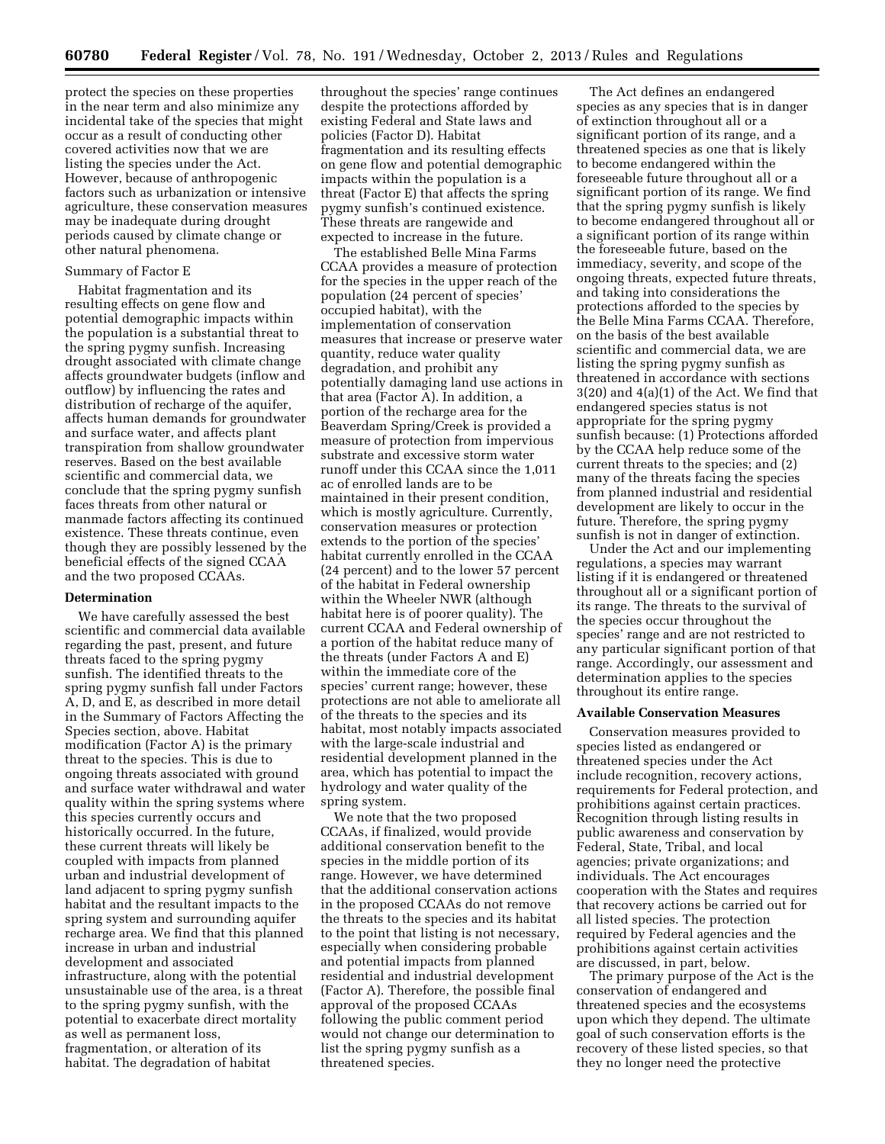protect the species on these properties in the near term and also minimize any incidental take of the species that might occur as a result of conducting other covered activities now that we are listing the species under the Act. However, because of anthropogenic factors such as urbanization or intensive agriculture, these conservation measures may be inadequate during drought periods caused by climate change or other natural phenomena.

### Summary of Factor E

Habitat fragmentation and its resulting effects on gene flow and potential demographic impacts within the population is a substantial threat to the spring pygmy sunfish. Increasing drought associated with climate change affects groundwater budgets (inflow and outflow) by influencing the rates and distribution of recharge of the aquifer, affects human demands for groundwater and surface water, and affects plant transpiration from shallow groundwater reserves. Based on the best available scientific and commercial data, we conclude that the spring pygmy sunfish faces threats from other natural or manmade factors affecting its continued existence. These threats continue, even though they are possibly lessened by the beneficial effects of the signed CCAA and the two proposed CCAAs.

### **Determination**

We have carefully assessed the best scientific and commercial data available regarding the past, present, and future threats faced to the spring pygmy sunfish. The identified threats to the spring pygmy sunfish fall under Factors A, D, and E, as described in more detail in the Summary of Factors Affecting the Species section, above. Habitat modification (Factor A) is the primary threat to the species. This is due to ongoing threats associated with ground and surface water withdrawal and water quality within the spring systems where this species currently occurs and historically occurred. In the future, these current threats will likely be coupled with impacts from planned urban and industrial development of land adjacent to spring pygmy sunfish habitat and the resultant impacts to the spring system and surrounding aquifer recharge area. We find that this planned increase in urban and industrial development and associated infrastructure, along with the potential unsustainable use of the area, is a threat to the spring pygmy sunfish, with the potential to exacerbate direct mortality as well as permanent loss, fragmentation, or alteration of its habitat. The degradation of habitat

throughout the species' range continues despite the protections afforded by existing Federal and State laws and policies (Factor D). Habitat fragmentation and its resulting effects on gene flow and potential demographic impacts within the population is a threat (Factor E) that affects the spring pygmy sunfish's continued existence. These threats are rangewide and expected to increase in the future.

The established Belle Mina Farms CCAA provides a measure of protection for the species in the upper reach of the population (24 percent of species' occupied habitat), with the implementation of conservation measures that increase or preserve water quantity, reduce water quality degradation, and prohibit any potentially damaging land use actions in that area (Factor A). In addition, a portion of the recharge area for the Beaverdam Spring/Creek is provided a measure of protection from impervious substrate and excessive storm water runoff under this CCAA since the 1,011 ac of enrolled lands are to be maintained in their present condition, which is mostly agriculture. Currently, conservation measures or protection extends to the portion of the species' habitat currently enrolled in the CCAA (24 percent) and to the lower 57 percent of the habitat in Federal ownership within the Wheeler NWR (although habitat here is of poorer quality). The current CCAA and Federal ownership of a portion of the habitat reduce many of the threats (under Factors A and E) within the immediate core of the species' current range; however, these protections are not able to ameliorate all of the threats to the species and its habitat, most notably impacts associated with the large-scale industrial and residential development planned in the area, which has potential to impact the hydrology and water quality of the spring system.

We note that the two proposed CCAAs, if finalized, would provide additional conservation benefit to the species in the middle portion of its range. However, we have determined that the additional conservation actions in the proposed CCAAs do not remove the threats to the species and its habitat to the point that listing is not necessary, especially when considering probable and potential impacts from planned residential and industrial development (Factor A). Therefore, the possible final approval of the proposed CCAAs following the public comment period would not change our determination to list the spring pygmy sunfish as a threatened species.

The Act defines an endangered species as any species that is in danger of extinction throughout all or a significant portion of its range, and a threatened species as one that is likely to become endangered within the foreseeable future throughout all or a significant portion of its range. We find that the spring pygmy sunfish is likely to become endangered throughout all or a significant portion of its range within the foreseeable future, based on the immediacy, severity, and scope of the ongoing threats, expected future threats, and taking into considerations the protections afforded to the species by the Belle Mina Farms CCAA. Therefore, on the basis of the best available scientific and commercial data, we are listing the spring pygmy sunfish as threatened in accordance with sections 3(20) and 4(a)(1) of the Act. We find that endangered species status is not appropriate for the spring pygmy sunfish because: (1) Protections afforded by the CCAA help reduce some of the current threats to the species; and (2) many of the threats facing the species from planned industrial and residential development are likely to occur in the future. Therefore, the spring pygmy sunfish is not in danger of extinction.

Under the Act and our implementing regulations, a species may warrant listing if it is endangered or threatened throughout all or a significant portion of its range. The threats to the survival of the species occur throughout the species' range and are not restricted to any particular significant portion of that range. Accordingly, our assessment and determination applies to the species throughout its entire range.

#### **Available Conservation Measures**

Conservation measures provided to species listed as endangered or threatened species under the Act include recognition, recovery actions, requirements for Federal protection, and prohibitions against certain practices. Recognition through listing results in public awareness and conservation by Federal, State, Tribal, and local agencies; private organizations; and individuals. The Act encourages cooperation with the States and requires that recovery actions be carried out for all listed species. The protection required by Federal agencies and the prohibitions against certain activities are discussed, in part, below.

The primary purpose of the Act is the conservation of endangered and threatened species and the ecosystems upon which they depend. The ultimate goal of such conservation efforts is the recovery of these listed species, so that they no longer need the protective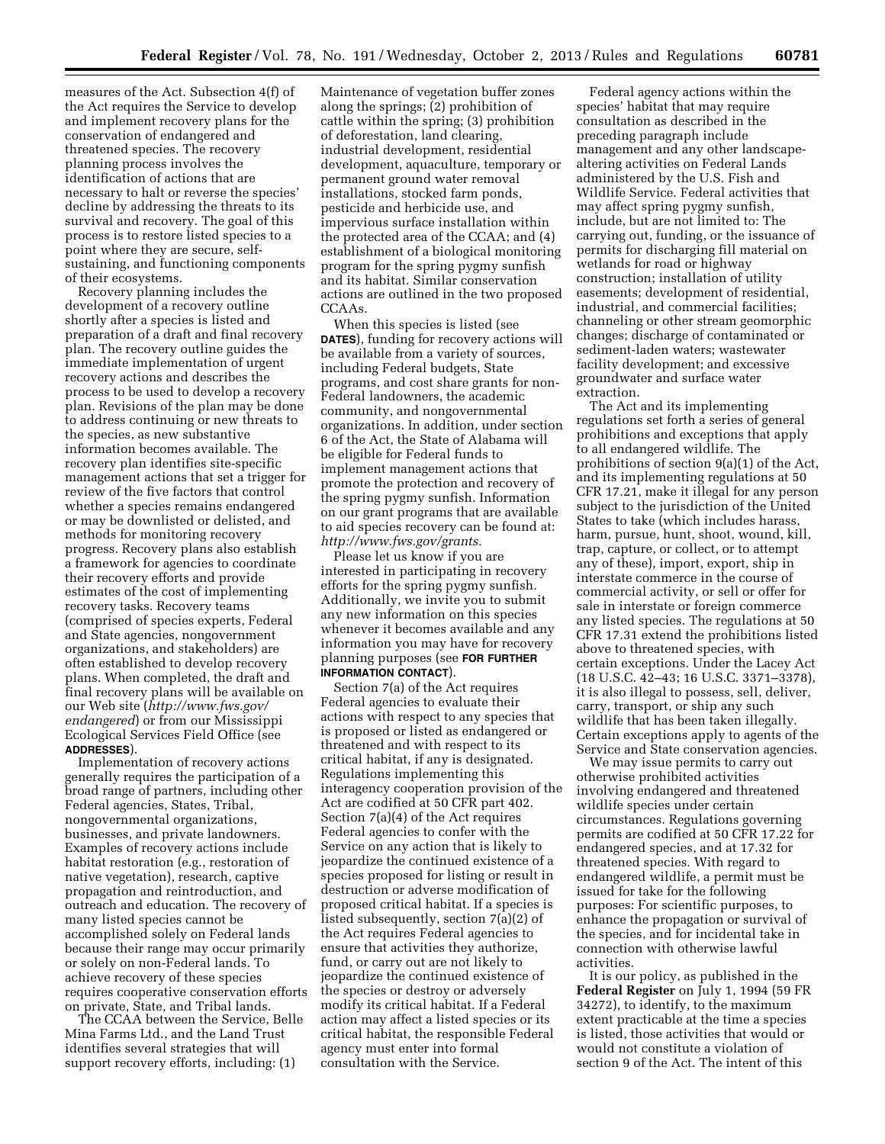measures of the Act. Subsection 4(f) of the Act requires the Service to develop and implement recovery plans for the conservation of endangered and threatened species. The recovery planning process involves the identification of actions that are necessary to halt or reverse the species' decline by addressing the threats to its survival and recovery. The goal of this process is to restore listed species to a point where they are secure, selfsustaining, and functioning components of their ecosystems.

Recovery planning includes the development of a recovery outline shortly after a species is listed and preparation of a draft and final recovery plan. The recovery outline guides the immediate implementation of urgent recovery actions and describes the process to be used to develop a recovery plan. Revisions of the plan may be done to address continuing or new threats to the species, as new substantive information becomes available. The recovery plan identifies site-specific management actions that set a trigger for review of the five factors that control whether a species remains endangered or may be downlisted or delisted, and methods for monitoring recovery progress. Recovery plans also establish a framework for agencies to coordinate their recovery efforts and provide estimates of the cost of implementing recovery tasks. Recovery teams (comprised of species experts, Federal and State agencies, nongovernment organizations, and stakeholders) are often established to develop recovery plans. When completed, the draft and final recovery plans will be available on our Web site (*[http://www.fws.gov/](http://www.fws.gov/endangered) [endangered](http://www.fws.gov/endangered)*) or from our Mississippi Ecological Services Field Office (see **ADDRESSES**).

Implementation of recovery actions generally requires the participation of a broad range of partners, including other Federal agencies, States, Tribal, nongovernmental organizations, businesses, and private landowners. Examples of recovery actions include habitat restoration (e.g., restoration of native vegetation), research, captive propagation and reintroduction, and outreach and education. The recovery of many listed species cannot be accomplished solely on Federal lands because their range may occur primarily or solely on non-Federal lands. To achieve recovery of these species requires cooperative conservation efforts on private, State, and Tribal lands.

The CCAA between the Service, Belle Mina Farms Ltd., and the Land Trust identifies several strategies that will support recovery efforts, including: (1)

Maintenance of vegetation buffer zones along the springs; (2) prohibition of cattle within the spring; (3) prohibition of deforestation, land clearing, industrial development, residential development, aquaculture, temporary or permanent ground water removal installations, stocked farm ponds, pesticide and herbicide use, and impervious surface installation within the protected area of the CCAA; and (4) establishment of a biological monitoring program for the spring pygmy sunfish and its habitat. Similar conservation actions are outlined in the two proposed CCAAs.

When this species is listed (see **DATES**), funding for recovery actions will be available from a variety of sources, including Federal budgets, State programs, and cost share grants for non-Federal landowners, the academic community, and nongovernmental organizations. In addition, under section 6 of the Act, the State of Alabama will be eligible for Federal funds to implement management actions that promote the protection and recovery of the spring pygmy sunfish. Information on our grant programs that are available to aid species recovery can be found at: *[http://www.fws.gov/grants.](http://www.fws.gov/grants)* 

Please let us know if you are interested in participating in recovery efforts for the spring pygmy sunfish. Additionally, we invite you to submit any new information on this species whenever it becomes available and any information you may have for recovery planning purposes (see **FOR FURTHER INFORMATION CONTACT**).

Section 7(a) of the Act requires Federal agencies to evaluate their actions with respect to any species that is proposed or listed as endangered or threatened and with respect to its critical habitat, if any is designated. Regulations implementing this interagency cooperation provision of the Act are codified at 50 CFR part 402. Section 7(a)(4) of the Act requires Federal agencies to confer with the Service on any action that is likely to jeopardize the continued existence of a species proposed for listing or result in destruction or adverse modification of proposed critical habitat. If a species is listed subsequently, section 7(a)(2) of the Act requires Federal agencies to ensure that activities they authorize, fund, or carry out are not likely to jeopardize the continued existence of the species or destroy or adversely modify its critical habitat. If a Federal action may affect a listed species or its critical habitat, the responsible Federal agency must enter into formal consultation with the Service.

Federal agency actions within the species' habitat that may require consultation as described in the preceding paragraph include management and any other landscapealtering activities on Federal Lands administered by the U.S. Fish and Wildlife Service. Federal activities that may affect spring pygmy sunfish, include, but are not limited to: The carrying out, funding, or the issuance of permits for discharging fill material on wetlands for road or highway construction; installation of utility easements; development of residential, industrial, and commercial facilities; channeling or other stream geomorphic changes; discharge of contaminated or sediment-laden waters; wastewater facility development; and excessive groundwater and surface water extraction.

The Act and its implementing regulations set forth a series of general prohibitions and exceptions that apply to all endangered wildlife. The prohibitions of section 9(a)(1) of the Act, and its implementing regulations at 50 CFR 17.21, make it illegal for any person subject to the jurisdiction of the United States to take (which includes harass, harm, pursue, hunt, shoot, wound, kill, trap, capture, or collect, or to attempt any of these), import, export, ship in interstate commerce in the course of commercial activity, or sell or offer for sale in interstate or foreign commerce any listed species. The regulations at 50 CFR 17.31 extend the prohibitions listed above to threatened species, with certain exceptions. Under the Lacey Act (18 U.S.C. 42–43; 16 U.S.C. 3371–3378), it is also illegal to possess, sell, deliver, carry, transport, or ship any such wildlife that has been taken illegally. Certain exceptions apply to agents of the Service and State conservation agencies.

We may issue permits to carry out otherwise prohibited activities involving endangered and threatened wildlife species under certain circumstances. Regulations governing permits are codified at 50 CFR 17.22 for endangered species, and at 17.32 for threatened species. With regard to endangered wildlife, a permit must be issued for take for the following purposes: For scientific purposes, to enhance the propagation or survival of the species, and for incidental take in connection with otherwise lawful activities.

It is our policy, as published in the **Federal Register** on July 1, 1994 (59 FR 34272), to identify, to the maximum extent practicable at the time a species is listed, those activities that would or would not constitute a violation of section 9 of the Act. The intent of this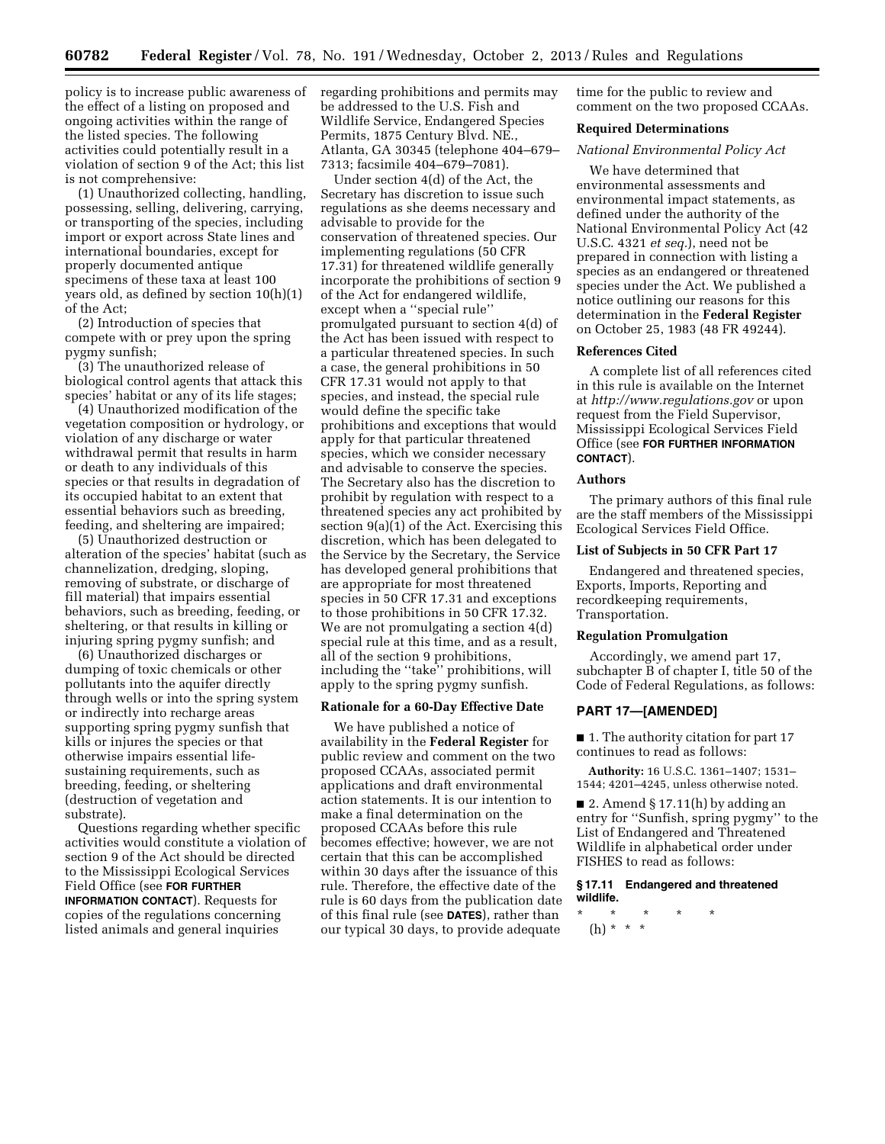policy is to increase public awareness of the effect of a listing on proposed and ongoing activities within the range of the listed species. The following activities could potentially result in a violation of section 9 of the Act; this list is not comprehensive:

(1) Unauthorized collecting, handling, possessing, selling, delivering, carrying, or transporting of the species, including import or export across State lines and international boundaries, except for properly documented antique specimens of these taxa at least 100 years old, as defined by section 10(h)(1) of the Act;

(2) Introduction of species that compete with or prey upon the spring pygmy sunfish;

(3) The unauthorized release of biological control agents that attack this species' habitat or any of its life stages;

(4) Unauthorized modification of the vegetation composition or hydrology, or violation of any discharge or water withdrawal permit that results in harm or death to any individuals of this species or that results in degradation of its occupied habitat to an extent that essential behaviors such as breeding, feeding, and sheltering are impaired;

(5) Unauthorized destruction or alteration of the species' habitat (such as channelization, dredging, sloping, removing of substrate, or discharge of fill material) that impairs essential behaviors, such as breeding, feeding, or sheltering, or that results in killing or injuring spring pygmy sunfish; and

(6) Unauthorized discharges or dumping of toxic chemicals or other pollutants into the aquifer directly through wells or into the spring system or indirectly into recharge areas supporting spring pygmy sunfish that kills or injures the species or that otherwise impairs essential lifesustaining requirements, such as breeding, feeding, or sheltering (destruction of vegetation and substrate).

Questions regarding whether specific activities would constitute a violation of section 9 of the Act should be directed to the Mississippi Ecological Services Field Office (see **FOR FURTHER INFORMATION CONTACT**). Requests for copies of the regulations concerning listed animals and general inquiries

regarding prohibitions and permits may be addressed to the U.S. Fish and Wildlife Service, Endangered Species Permits, 1875 Century Blvd. NE., Atlanta, GA 30345 (telephone 404–679– 7313; facsimile 404–679–7081).

Under section 4(d) of the Act, the Secretary has discretion to issue such regulations as she deems necessary and advisable to provide for the conservation of threatened species. Our implementing regulations (50 CFR 17.31) for threatened wildlife generally incorporate the prohibitions of section 9 of the Act for endangered wildlife, except when a ''special rule'' promulgated pursuant to section 4(d) of the Act has been issued with respect to a particular threatened species. In such a case, the general prohibitions in 50 CFR 17.31 would not apply to that species, and instead, the special rule would define the specific take prohibitions and exceptions that would apply for that particular threatened species, which we consider necessary and advisable to conserve the species. The Secretary also has the discretion to prohibit by regulation with respect to a threatened species any act prohibited by section 9(a)(1) of the Act. Exercising this discretion, which has been delegated to the Service by the Secretary, the Service has developed general prohibitions that are appropriate for most threatened species in 50 CFR 17.31 and exceptions to those prohibitions in 50 CFR 17.32. We are not promulgating a section 4(d) special rule at this time, and as a result, all of the section 9 prohibitions, including the ''take'' prohibitions, will apply to the spring pygmy sunfish.

## **Rationale for a 60-Day Effective Date**

We have published a notice of availability in the **Federal Register** for public review and comment on the two proposed CCAAs, associated permit applications and draft environmental action statements. It is our intention to make a final determination on the proposed CCAAs before this rule becomes effective; however, we are not certain that this can be accomplished within 30 days after the issuance of this rule. Therefore, the effective date of the rule is 60 days from the publication date of this final rule (see **DATES**), rather than our typical 30 days, to provide adequate

time for the public to review and comment on the two proposed CCAAs.

### **Required Determinations**

## *National Environmental Policy Act*

We have determined that environmental assessments and environmental impact statements, as defined under the authority of the National Environmental Policy Act (42 U.S.C. 4321 *et seq.*), need not be prepared in connection with listing a species as an endangered or threatened species under the Act. We published a notice outlining our reasons for this determination in the **Federal Register**  on October 25, 1983 (48 FR 49244).

## **References Cited**

A complete list of all references cited in this rule is available on the Internet at *<http://www.regulations.gov>* or upon request from the Field Supervisor, Mississippi Ecological Services Field Office (see **FOR FURTHER INFORMATION CONTACT**).

### **Authors**

The primary authors of this final rule are the staff members of the Mississippi Ecological Services Field Office.

### **List of Subjects in 50 CFR Part 17**

Endangered and threatened species, Exports, Imports, Reporting and recordkeeping requirements, Transportation.

## **Regulation Promulgation**

Accordingly, we amend part 17, subchapter B of chapter I, title 50 of the Code of Federal Regulations, as follows:

### **PART 17—[AMENDED]**

■ 1. The authority citation for part 17 continues to read as follows:

**Authority:** 16 U.S.C. 1361–1407; 1531– 1544; 4201–4245, unless otherwise noted.

■ 2. Amend § 17.11(h) by adding an entry for ''Sunfish, spring pygmy'' to the List of Endangered and Threatened Wildlife in alphabetical order under FISHES to read as follows:

### **§ 17.11 Endangered and threatened wildlife.**

\* \* \* \* \* (h) \* \* \*